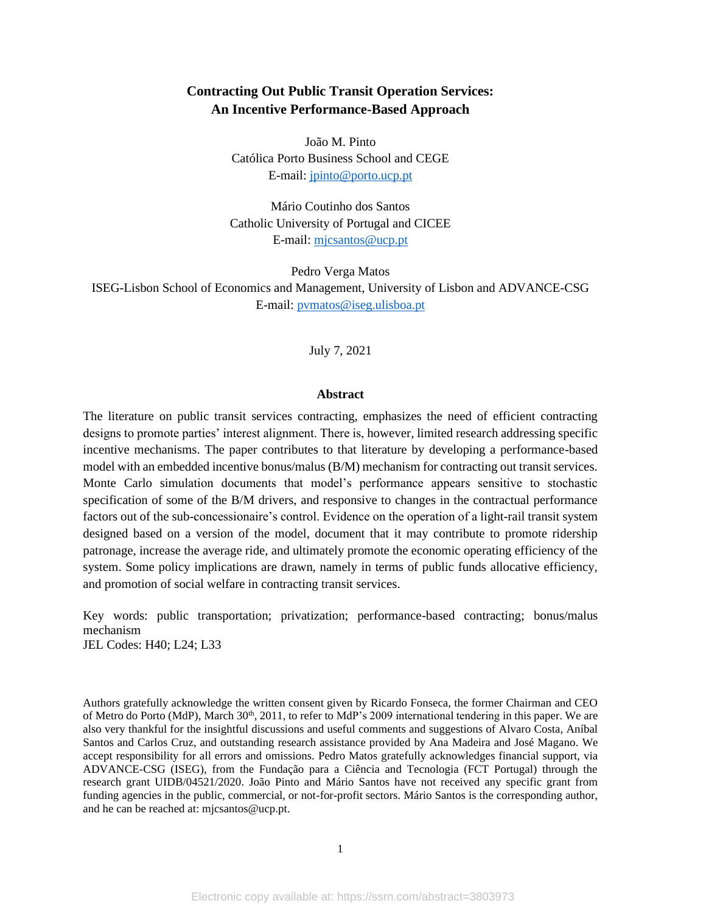# **Contracting Out Public Transit Operation Services: An Incentive Performance-Based Approach**

João M. Pinto Católica Porto Business School and CEGE E-mail[: jpinto@porto.ucp.pt](mailto:jpinto@porto.ucp.pt)

Mário Coutinho dos Santos Catholic University of Portugal and CICEE E-mail: [mjcsantos@ucp.pt](mailto:mjcsantos@ucp.pt)

Pedro Verga Matos ISEG-Lisbon School of Economics and Management, University of Lisbon and ADVANCE-CSG E-mail: [pvmatos@iseg.ulisboa.pt](mailto:pvmatos@iseg.ulisboa.pt)

July 7, 2021

#### **Abstract**

The literature on public transit services contracting, emphasizes the need of efficient contracting designs to promote parties' interest alignment. There is, however, limited research addressing specific incentive mechanisms. The paper contributes to that literature by developing a performance-based model with an embedded incentive bonus/malus (B/M) mechanism for contracting out transit services. Monte Carlo simulation documents that model's performance appears sensitive to stochastic specification of some of the B/M drivers, and responsive to changes in the contractual performance factors out of the sub-concessionaire's control. Evidence on the operation of a light-rail transit system designed based on a version of the model, document that it may contribute to promote ridership patronage, increase the average ride, and ultimately promote the economic operating efficiency of the system. Some policy implications are drawn, namely in terms of public funds allocative efficiency, and promotion of social welfare in contracting transit services.

Key words: public transportation; privatization; performance-based contracting; bonus/malus mechanism JEL Codes: H40; L24; L33

Authors gratefully acknowledge the written consent given by Ricardo Fonseca, the former Chairman and CEO of Metro do Porto (MdP), March 30<sup>th</sup>, 2011, to refer to MdP's 2009 international tendering in this paper. We are also very thankful for the insightful discussions and useful comments and suggestions of Alvaro Costa, Aníbal Santos and Carlos Cruz, and outstanding research assistance provided by Ana Madeira and José Magano. We accept responsibility for all errors and omissions. Pedro Matos gratefully acknowledges financial support, via ADVANCE-CSG (ISEG), from the Fundação para a Ciência and Tecnologia (FCT Portugal) through the research grant UIDB/04521/2020. João Pinto and Mário Santos have not received any specific grant from funding agencies in the public, commercial, or not-for-profit sectors. Mário Santos is the corresponding author, and he can be reached at: mjcsantos@ucp.pt.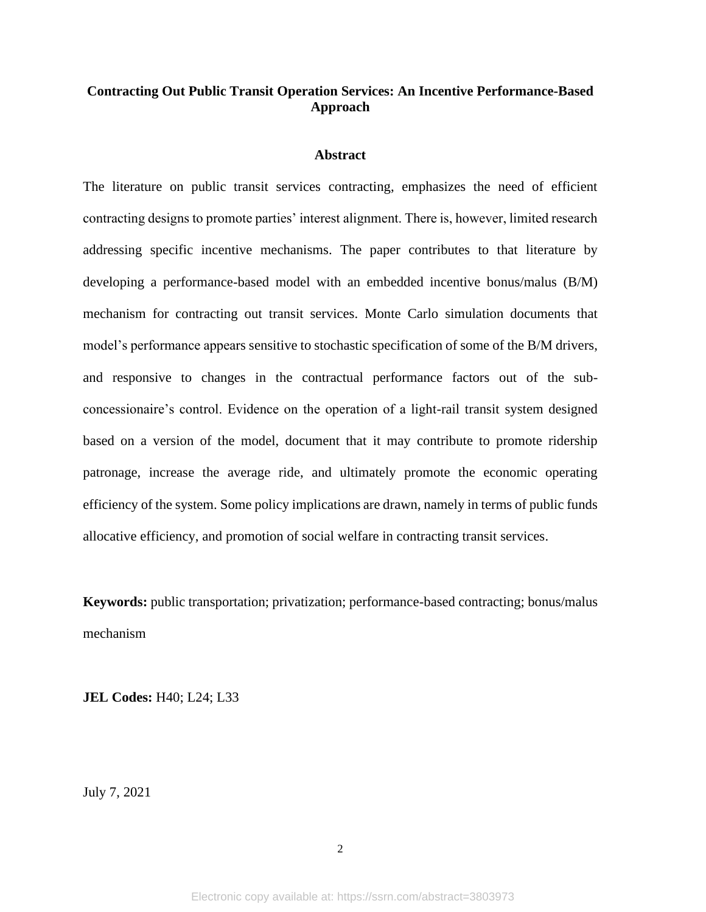# **Contracting Out Public Transit Operation Services: An Incentive Performance-Based Approach**

### **Abstract**

The literature on public transit services contracting, emphasizes the need of efficient contracting designs to promote parties' interest alignment. There is, however, limited research addressing specific incentive mechanisms. The paper contributes to that literature by developing a performance-based model with an embedded incentive bonus/malus (B/M) mechanism for contracting out transit services. Monte Carlo simulation documents that model's performance appears sensitive to stochastic specification of some of the B/M drivers, and responsive to changes in the contractual performance factors out of the subconcessionaire's control. Evidence on the operation of a light-rail transit system designed based on a version of the model, document that it may contribute to promote ridership patronage, increase the average ride, and ultimately promote the economic operating efficiency of the system. Some policy implications are drawn, namely in terms of public funds allocative efficiency, and promotion of social welfare in contracting transit services.

**Keywords:** public transportation; privatization; performance-based contracting; bonus/malus mechanism

**JEL Codes:** H40; L24; L33

July 7, 2021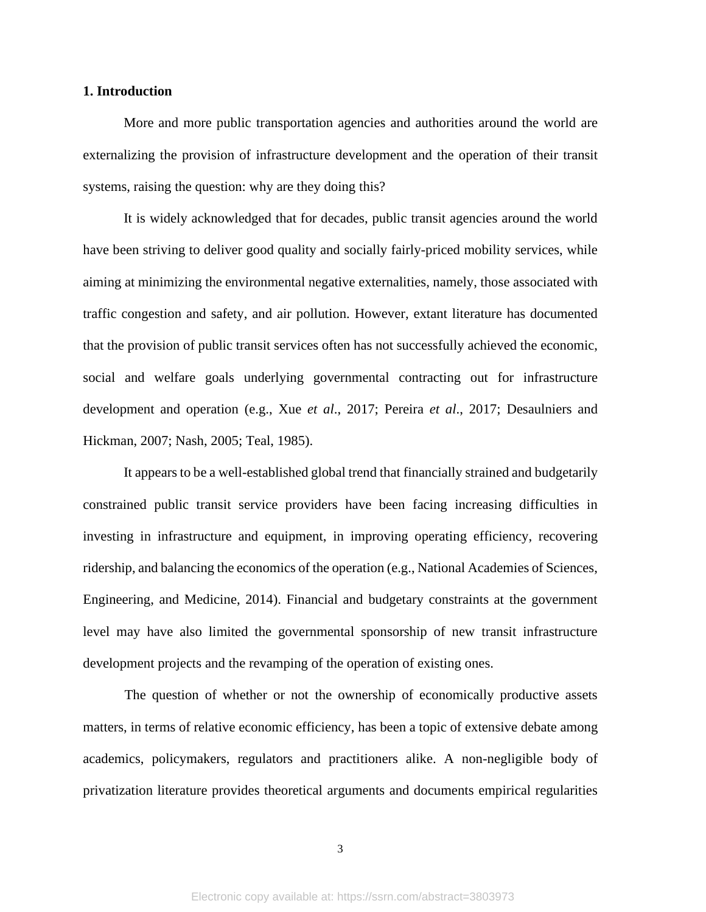### **1. Introduction**

More and more public transportation agencies and authorities around the world are externalizing the provision of infrastructure development and the operation of their transit systems, raising the question: why are they doing this?

It is widely acknowledged that for decades, public transit agencies around the world have been striving to deliver good quality and socially fairly-priced mobility services, while aiming at minimizing the environmental negative externalities, namely, those associated with traffic congestion and safety, and air pollution. However, extant literature has documented that the provision of public transit services often has not successfully achieved the economic, social and welfare goals underlying governmental contracting out for infrastructure development and operation (e.g., Xue *et al*., 2017; Pereira *et al*., 2017; Desaulniers and Hickman, 2007; Nash, 2005; Teal, 1985).

It appears to be a well-established global trend that financially strained and budgetarily constrained public transit service providers have been facing increasing difficulties in investing in infrastructure and equipment, in improving operating efficiency, recovering ridership, and balancing the economics of the operation (e.g., National Academies of Sciences, Engineering, and Medicine, 2014). Financial and budgetary constraints at the government level may have also limited the governmental sponsorship of new transit infrastructure development projects and the revamping of the operation of existing ones.

The question of whether or not the ownership of economically productive assets matters, in terms of relative economic efficiency, has been a topic of extensive debate among academics, policymakers, regulators and practitioners alike. A non-negligible body of privatization literature provides theoretical arguments and documents empirical regularities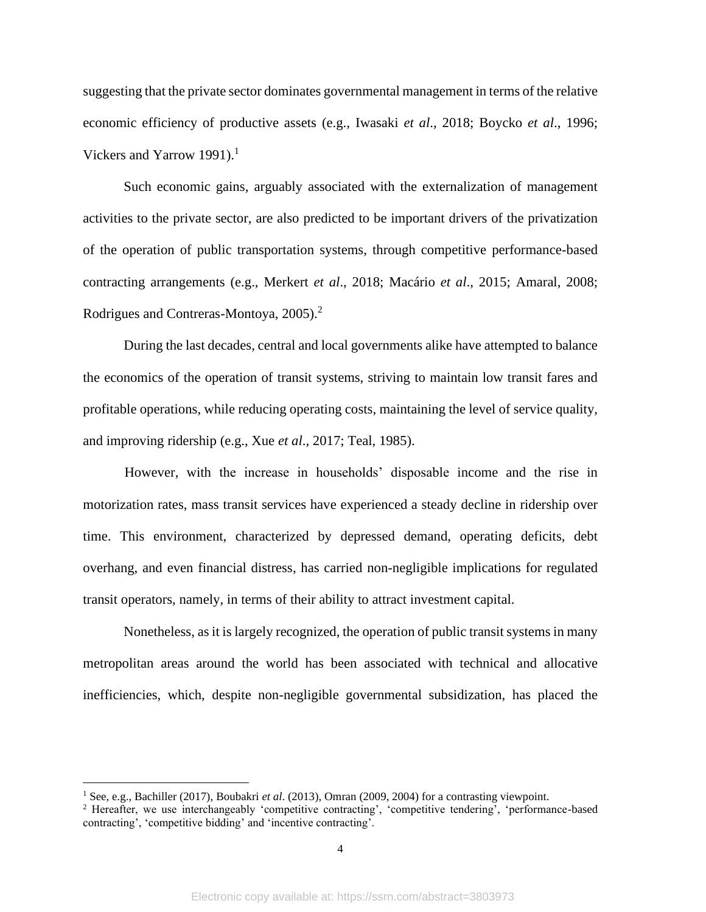suggesting that the private sector dominates governmental management in terms of the relative economic efficiency of productive assets (e.g., Iwasaki *et al*., 2018; Boycko *et al*., 1996; Vickers and Yarrow 1991).<sup>1</sup>

Such economic gains, arguably associated with the externalization of management activities to the private sector, are also predicted to be important drivers of the privatization of the operation of public transportation systems, through competitive performance-based contracting arrangements (e.g., Merkert *et al*., 2018; Macário *et al*., 2015; Amaral, 2008; Rodrigues and Contreras-Montoya, 2005).<sup>2</sup>

During the last decades, central and local governments alike have attempted to balance the economics of the operation of transit systems, striving to maintain low transit fares and profitable operations, while reducing operating costs, maintaining the level of service quality, and improving ridership (e.g., Xue *et al*., 2017; Teal, 1985).

However, with the increase in households' disposable income and the rise in motorization rates, mass transit services have experienced a steady decline in ridership over time. This environment, characterized by depressed demand, operating deficits, debt overhang, and even financial distress, has carried non-negligible implications for regulated transit operators, namely, in terms of their ability to attract investment capital.

Nonetheless, as it is largely recognized, the operation of public transit systems in many metropolitan areas around the world has been associated with technical and allocative inefficiencies, which, despite non-negligible governmental subsidization, has placed the

<sup>1</sup> See, e.g., Bachiller (2017), Boubakri *et al*. (2013), Omran (2009, 2004) for a contrasting viewpoint.

<sup>2</sup> Hereafter, we use interchangeably 'competitive contracting', 'competitive tendering', 'performance-based contracting', 'competitive bidding' and 'incentive contracting'.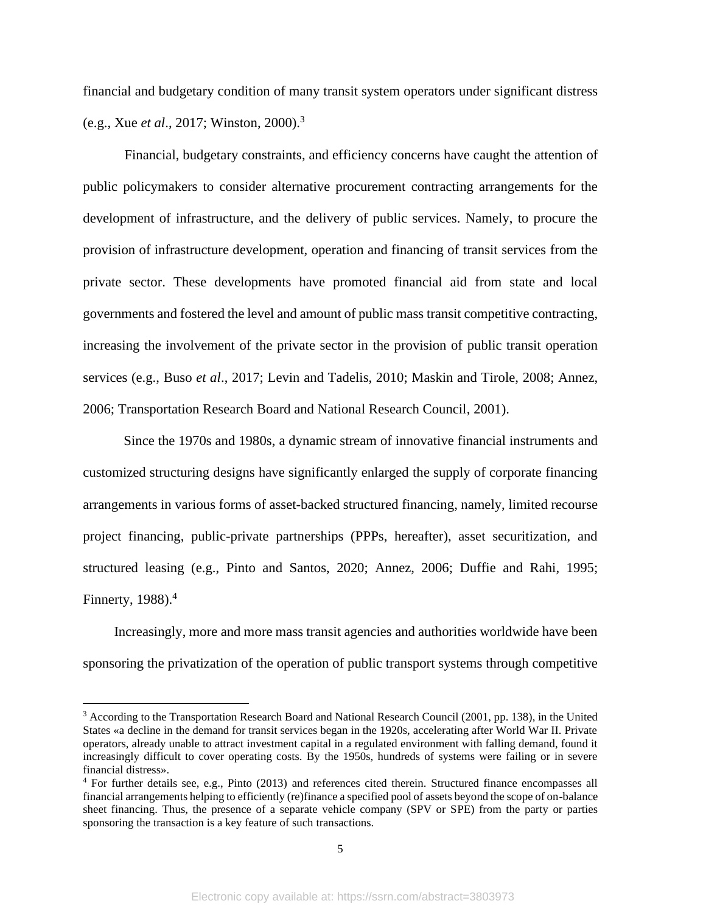financial and budgetary condition of many transit system operators under significant distress (e.g., Xue *et al*., 2017; Winston, 2000). 3

Financial, budgetary constraints, and efficiency concerns have caught the attention of public policymakers to consider alternative procurement contracting arrangements for the development of infrastructure, and the delivery of public services. Namely, to procure the provision of infrastructure development, operation and financing of transit services from the private sector. These developments have promoted financial aid from state and local governments and fostered the level and amount of public mass transit competitive contracting, increasing the involvement of the private sector in the provision of public transit operation services (e.g., Buso *et al*., 2017; Levin and Tadelis, 2010; Maskin and Tirole, 2008; Annez, 2006; Transportation Research Board and National Research Council, 2001).

Since the 1970s and 1980s, a dynamic stream of innovative financial instruments and customized structuring designs have significantly enlarged the supply of corporate financing arrangements in various forms of asset-backed structured financing, namely, limited recourse project financing, public-private partnerships (PPPs, hereafter), asset securitization, and structured leasing (e.g., Pinto and Santos, 2020; Annez, 2006; Duffie and Rahi, 1995; Finnerty,  $1988$ ).<sup>4</sup>

Increasingly, more and more mass transit agencies and authorities worldwide have been sponsoring the privatization of the operation of public transport systems through competitive

<sup>&</sup>lt;sup>3</sup> According to the Transportation Research Board and National Research Council (2001, pp. 138), in the United States «a decline in the demand for transit services began in the 1920s, accelerating after World War II. Private operators, already unable to attract investment capital in a regulated environment with falling demand, found it increasingly difficult to cover operating costs. By the 1950s, hundreds of systems were failing or in severe financial distress».

<sup>4</sup> For further details see, e.g., Pinto (2013) and references cited therein. Structured finance encompasses all financial arrangements helping to efficiently (re)finance a specified pool of assets beyond the scope of on-balance sheet financing. Thus, the presence of a separate vehicle company (SPV or SPE) from the party or parties sponsoring the transaction is a key feature of such transactions.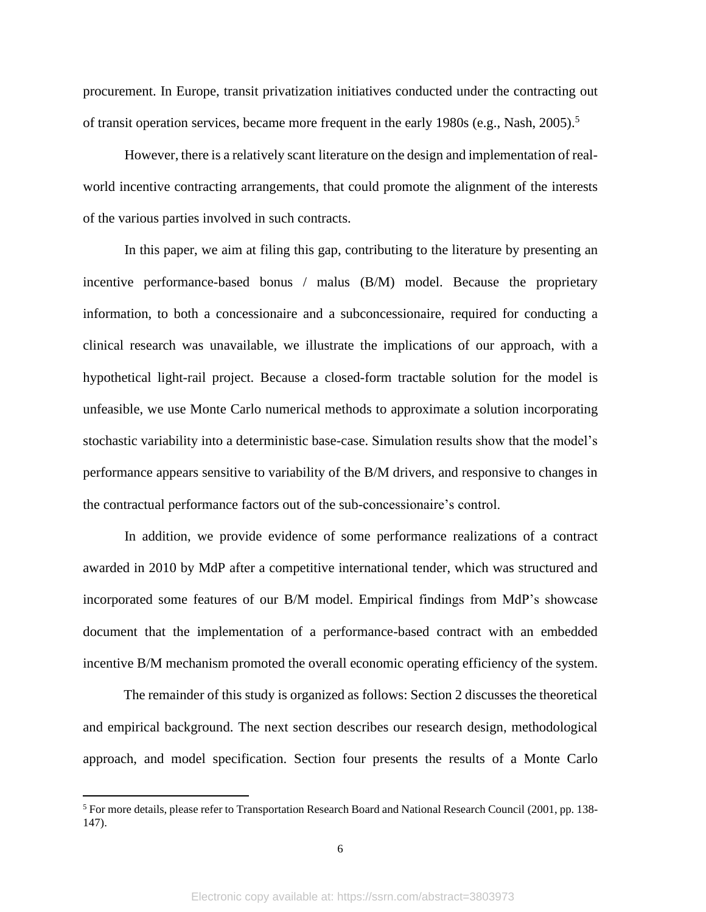procurement. In Europe, transit privatization initiatives conducted under the contracting out of transit operation services, became more frequent in the early 1980s (e.g., Nash, 2005). 5

However, there is a relatively scant literature on the design and implementation of realworld incentive contracting arrangements, that could promote the alignment of the interests of the various parties involved in such contracts.

In this paper, we aim at filing this gap, contributing to the literature by presenting an incentive performance-based bonus / malus (B/M) model. Because the proprietary information, to both a concessionaire and a subconcessionaire, required for conducting a clinical research was unavailable, we illustrate the implications of our approach, with a hypothetical light-rail project. Because a closed-form tractable solution for the model is unfeasible, we use Monte Carlo numerical methods to approximate a solution incorporating stochastic variability into a deterministic base-case. Simulation results show that the model's performance appears sensitive to variability of the B/M drivers, and responsive to changes in the contractual performance factors out of the sub-concessionaire's control.

In addition, we provide evidence of some performance realizations of a contract awarded in 2010 by MdP after a competitive international tender, which was structured and incorporated some features of our B/M model. Empirical findings from MdP's showcase document that the implementation of a performance-based contract with an embedded incentive B/M mechanism promoted the overall economic operating efficiency of the system.

The remainder of this study is organized as follows: Section 2 discusses the theoretical and empirical background. The next section describes our research design, methodological approach, and model specification. Section four presents the results of a Monte Carlo

<sup>5</sup> For more details, please refer to Transportation Research Board and National Research Council (2001, pp. 138- 147).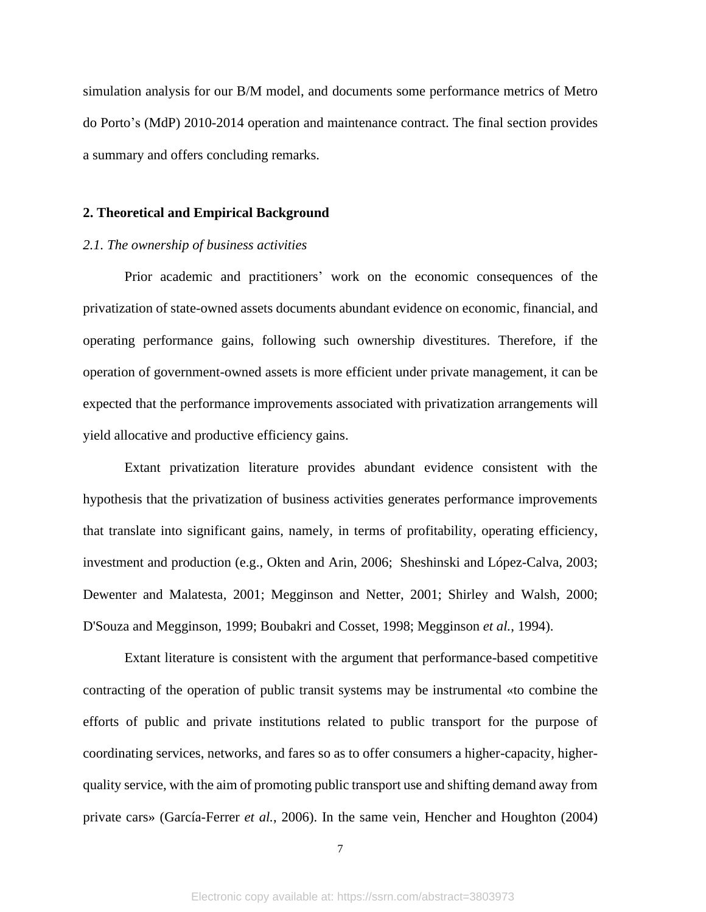simulation analysis for our B/M model, and documents some performance metrics of Metro do Porto's (MdP) 2010-2014 operation and maintenance contract. The final section provides a summary and offers concluding remarks.

#### **2. Theoretical and Empirical Background**

#### *2.1. The ownership of business activities*

Prior academic and practitioners' work on the economic consequences of the privatization of state-owned assets documents abundant evidence on economic, financial, and operating performance gains, following such ownership divestitures. Therefore, if the operation of government-owned assets is more efficient under private management, it can be expected that the performance improvements associated with privatization arrangements will yield allocative and productive efficiency gains.

Extant privatization literature provides abundant evidence consistent with the hypothesis that the privatization of business activities generates performance improvements that translate into significant gains, namely, in terms of profitability, operating efficiency, investment and production (e.g., Okten and Arin, 2006; Sheshinski and López-Calva, 2003; Dewenter and Malatesta, 2001; Megginson and Netter, 2001; Shirley and Walsh, 2000; D'Souza and Megginson, 1999; Boubakri and Cosset, 1998; Megginson *et al.*, 1994).

Extant literature is consistent with the argument that performance-based competitive contracting of the operation of public transit systems may be instrumental «to combine the efforts of public and private institutions related to public transport for the purpose of coordinating services, networks, and fares so as to offer consumers a higher-capacity, higherquality service, with the aim of promoting public transport use and shifting demand away from private cars» (García-Ferrer *et al.*, 2006). In the same vein, Hencher and Houghton (2004)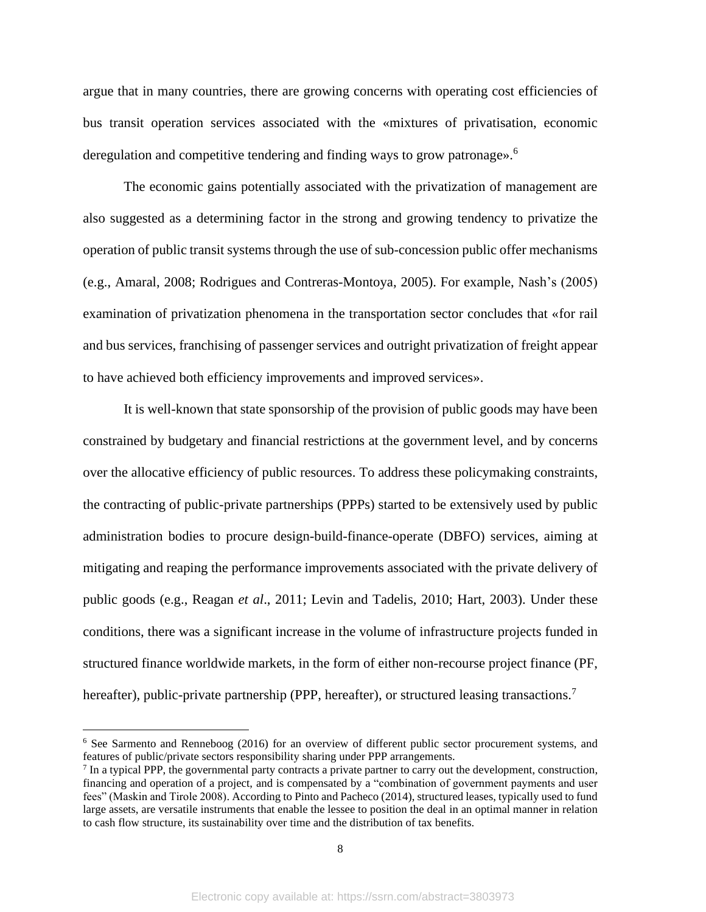argue that in many countries, there are growing concerns with operating cost efficiencies of bus transit operation services associated with the «mixtures of privatisation, economic deregulation and competitive tendering and finding ways to grow patronage».<sup>6</sup>

The economic gains potentially associated with the privatization of management are also suggested as a determining factor in the strong and growing tendency to privatize the operation of public transit systems through the use of sub-concession public offer mechanisms (e.g., Amaral, 2008; Rodrigues and Contreras-Montoya, 2005). For example, Nash's (2005) examination of privatization phenomena in the transportation sector concludes that «for rail and bus services, franchising of passenger services and outright privatization of freight appear to have achieved both efficiency improvements and improved services».

It is well-known that state sponsorship of the provision of public goods may have been constrained by budgetary and financial restrictions at the government level, and by concerns over the allocative efficiency of public resources. To address these policymaking constraints, the contracting of public-private partnerships (PPPs) started to be extensively used by public administration bodies to procure design-build-finance-operate (DBFO) services, aiming at mitigating and reaping the performance improvements associated with the private delivery of public goods (e.g., Reagan *et al*., 2011; Levin and Tadelis, 2010; Hart, 2003). Under these conditions, there was a significant increase in the volume of infrastructure projects funded in structured finance worldwide markets, in the form of either non-recourse project finance (PF, hereafter), public-private partnership (PPP, hereafter), or structured leasing transactions.<sup>7</sup>

<sup>6</sup> See Sarmento and Renneboog (2016) for an overview of different public sector procurement systems, and features of public/private sectors responsibility sharing under PPP arrangements.

 $<sup>7</sup>$  In a typical PPP, the governmental party contracts a private partner to carry out the development, construction,</sup> financing and operation of a project, and is compensated by a "combination of government payments and user fees" (Maskin and Tirole 2008). According to Pinto and Pacheco (2014), structured leases, typically used to fund large assets, are versatile instruments that enable the lessee to position the deal in an optimal manner in relation to cash flow structure, its sustainability over time and the distribution of tax benefits.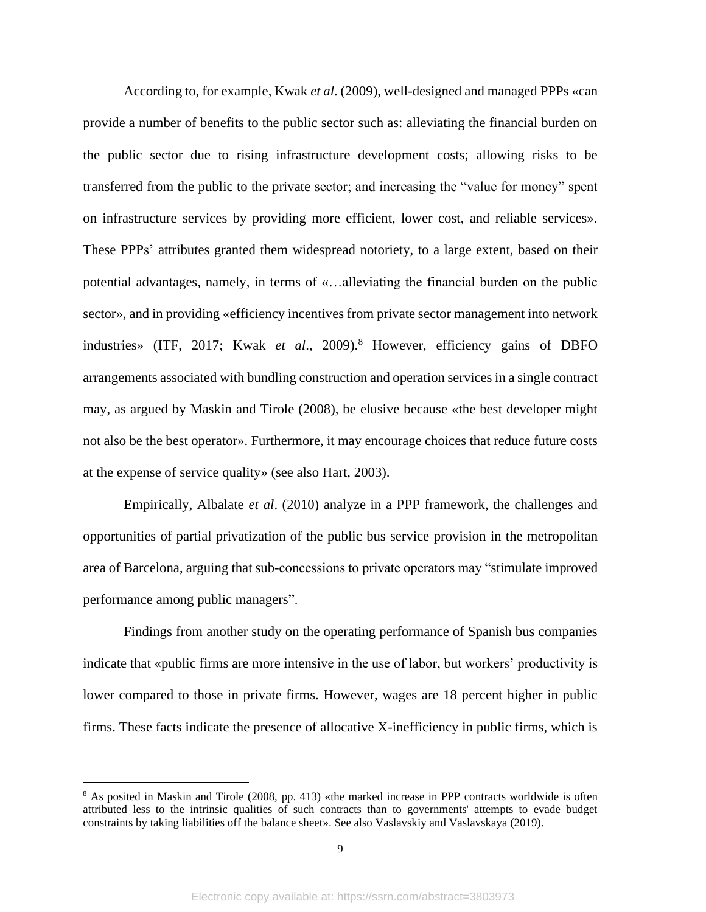According to, for example, Kwak *et al*. (2009), well-designed and managed PPPs «can provide a number of benefits to the public sector such as: alleviating the financial burden on the public sector due to rising infrastructure development costs; allowing risks to be transferred from the public to the private sector; and increasing the "value for money" spent on infrastructure services by providing more efficient, lower cost, and reliable services». These PPPs' attributes granted them widespread notoriety, to a large extent, based on their potential advantages, namely, in terms of «…alleviating the financial burden on the public sector», and in providing «efficiency incentives from private sector management into network industries» (ITF, 2017; Kwak *et al.*, 2009).<sup>8</sup> However, efficiency gains of DBFO arrangements associated with bundling construction and operation services in a single contract may, as argued by Maskin and Tirole (2008), be elusive because «the best developer might not also be the best operator». Furthermore, it may encourage choices that reduce future costs at the expense of service quality» (see also Hart, 2003).

Empirically, Albalate *et al*. (2010) analyze in a PPP framework, the challenges and opportunities of partial privatization of the public bus service provision in the metropolitan area of Barcelona, arguing that sub-concessions to private operators may "stimulate improved performance among public managers".

Findings from another study on the operating performance of Spanish bus companies indicate that «public firms are more intensive in the use of labor, but workers' productivity is lower compared to those in private firms. However, wages are 18 percent higher in public firms. These facts indicate the presence of allocative X-inefficiency in public firms, which is

<sup>&</sup>lt;sup>8</sup> As posited in Maskin and Tirole (2008, pp. 413) «the marked increase in PPP contracts worldwide is often attributed less to the intrinsic qualities of such contracts than to governments' attempts to evade budget constraints by taking liabilities off the balance sheet». See also Vaslavskiy and Vaslavskaya (2019).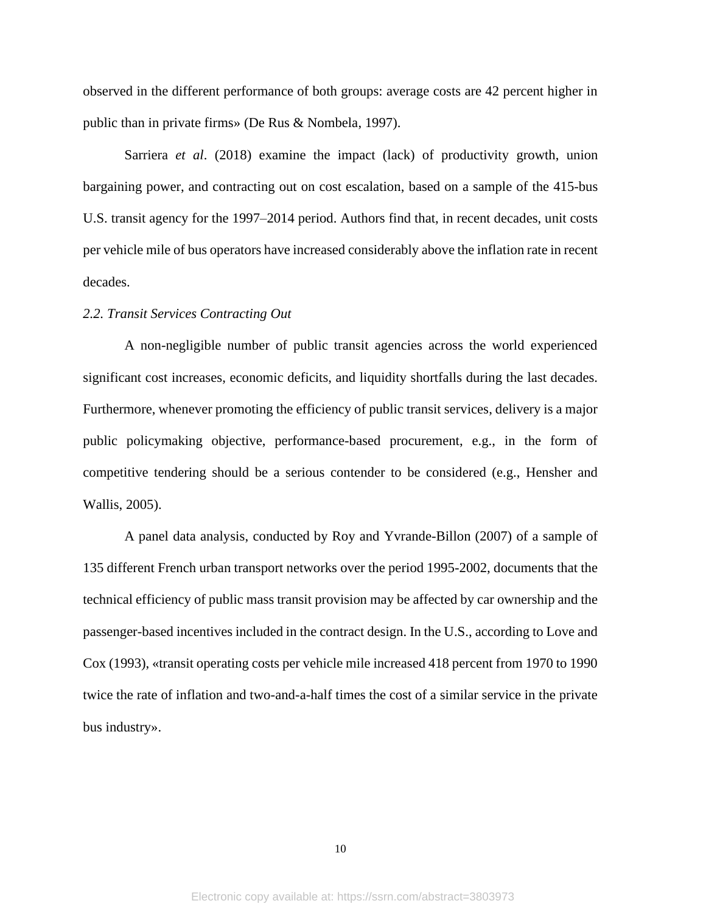observed in the different performance of both groups: average costs are 42 percent higher in public than in private firms» (De Rus & Nombela, 1997).

Sarriera *et al*. (2018) examine the impact (lack) of productivity growth, union bargaining power, and contracting out on cost escalation, based on a sample of the 415-bus U.S. transit agency for the 1997–2014 period. Authors find that, in recent decades, unit costs per vehicle mile of bus operators have increased considerably above the inflation rate in recent decades.

### *2.2. Transit Services Contracting Out*

A non-negligible number of public transit agencies across the world experienced significant cost increases, economic deficits, and liquidity shortfalls during the last decades. Furthermore, whenever promoting the efficiency of public transit services, delivery is a major public policymaking objective, performance-based procurement, e.g., in the form of competitive tendering should be a serious contender to be considered (e.g., Hensher and Wallis, 2005).

A panel data analysis, conducted by Roy and Yvrande-Billon (2007) of a sample of 135 different French urban transport networks over the period 1995-2002, documents that the technical efficiency of public mass transit provision may be affected by car ownership and the passenger-based incentives included in the contract design. In the U.S., according to Love and Cox (1993), «transit operating costs per vehicle mile increased 418 percent from 1970 to 1990 twice the rate of inflation and two-and-a-half times the cost of a similar service in the private bus industry».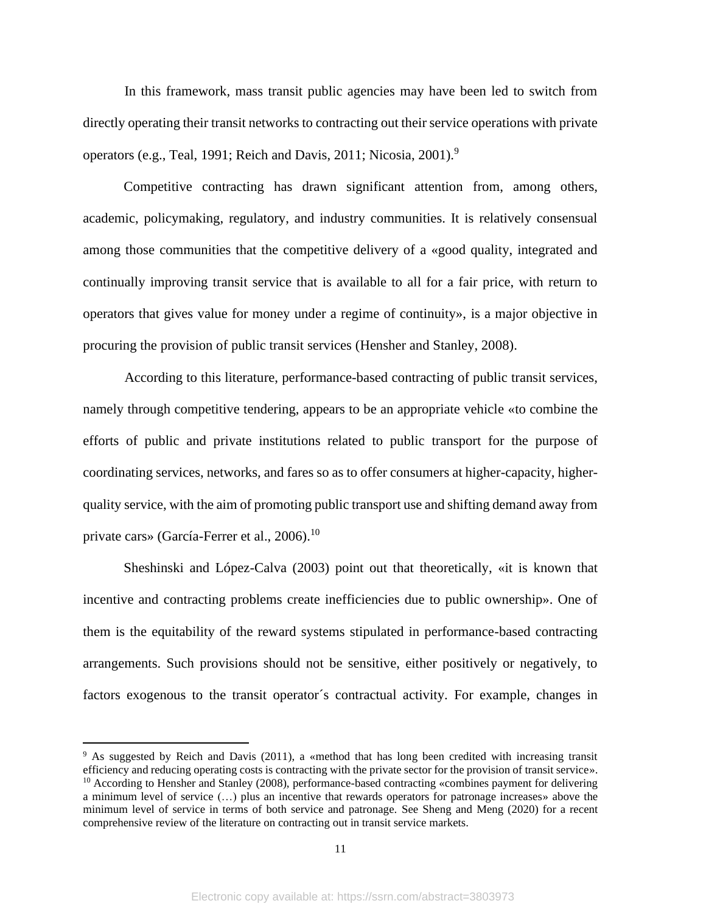In this framework, mass transit public agencies may have been led to switch from directly operating their transit networks to contracting out their service operations with private operators (e.g., Teal, 1991; Reich and Davis, 2011; Nicosia, 2001).<sup>9</sup>

Competitive contracting has drawn significant attention from, among others, academic, policymaking, regulatory, and industry communities. It is relatively consensual among those communities that the competitive delivery of a «good quality, integrated and continually improving transit service that is available to all for a fair price, with return to operators that gives value for money under a regime of continuity», is a major objective in procuring the provision of public transit services (Hensher and Stanley, 2008).

According to this literature, performance-based contracting of public transit services, namely through competitive tendering, appears to be an appropriate vehicle «to combine the efforts of public and private institutions related to public transport for the purpose of coordinating services, networks, and fares so as to offer consumers at higher-capacity, higherquality service, with the aim of promoting public transport use and shifting demand away from private cars» (García-Ferrer et al., 2006).<sup>10</sup>

Sheshinski and López-Calva (2003) point out that theoretically, «it is known that incentive and contracting problems create inefficiencies due to public ownership». One of them is the equitability of the reward systems stipulated in performance-based contracting arrangements. Such provisions should not be sensitive, either positively or negatively, to factors exogenous to the transit operator´s contractual activity. For example, changes in

<sup>9</sup> As suggested by Reich and Davis (2011), a «method that has long been credited with increasing transit efficiency and reducing operating costs is contracting with the private sector for the provision of transit service».  $10$  According to Hensher and Stanley (2008), performance-based contracting «combines payment for delivering a minimum level of service (…) plus an incentive that rewards operators for patronage increases» above the minimum level of service in terms of both service and patronage. See Sheng and Meng (2020) for a recent comprehensive review of the literature on contracting out in transit service markets.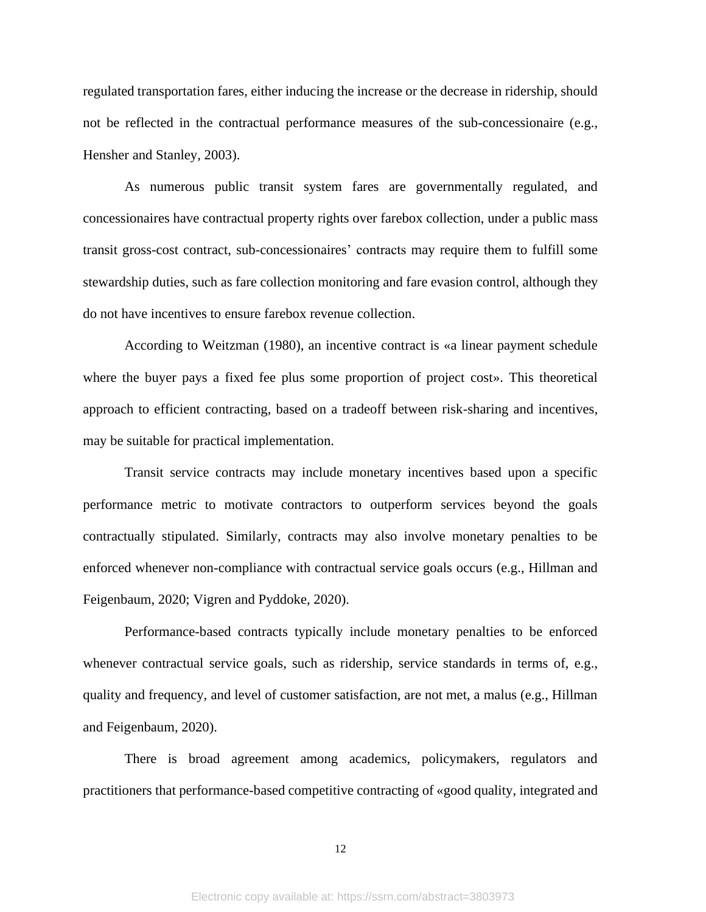regulated transportation fares, either inducing the increase or the decrease in ridership, should not be reflected in the contractual performance measures of the sub-concessionaire (e.g., Hensher and Stanley, 2003).

As numerous public transit system fares are governmentally regulated, and concessionaires have contractual property rights over farebox collection, under a public mass transit gross-cost contract, sub-concessionaires' contracts may require them to fulfill some stewardship duties, such as fare collection monitoring and fare evasion control, although they do not have incentives to ensure farebox revenue collection.

According to Weitzman (1980), an incentive contract is «a linear payment schedule where the buyer pays a fixed fee plus some proportion of project cost». This theoretical approach to efficient contracting, based on a tradeoff between risk-sharing and incentives, may be suitable for practical implementation.

Transit service contracts may include monetary incentives based upon a specific performance metric to motivate contractors to outperform services beyond the goals contractually stipulated. Similarly, contracts may also involve monetary penalties to be enforced whenever non-compliance with contractual service goals occurs (e.g., Hillman and Feigenbaum, 2020; Vigren and Pyddoke, 2020).

Performance-based contracts typically include monetary penalties to be enforced whenever contractual service goals, such as ridership, service standards in terms of, e.g., quality and frequency, and level of customer satisfaction, are not met, a malus (e.g., Hillman and Feigenbaum, 2020).

There is broad agreement among academics, policymakers, regulators and practitioners that performance-based competitive contracting of «good quality, integrated and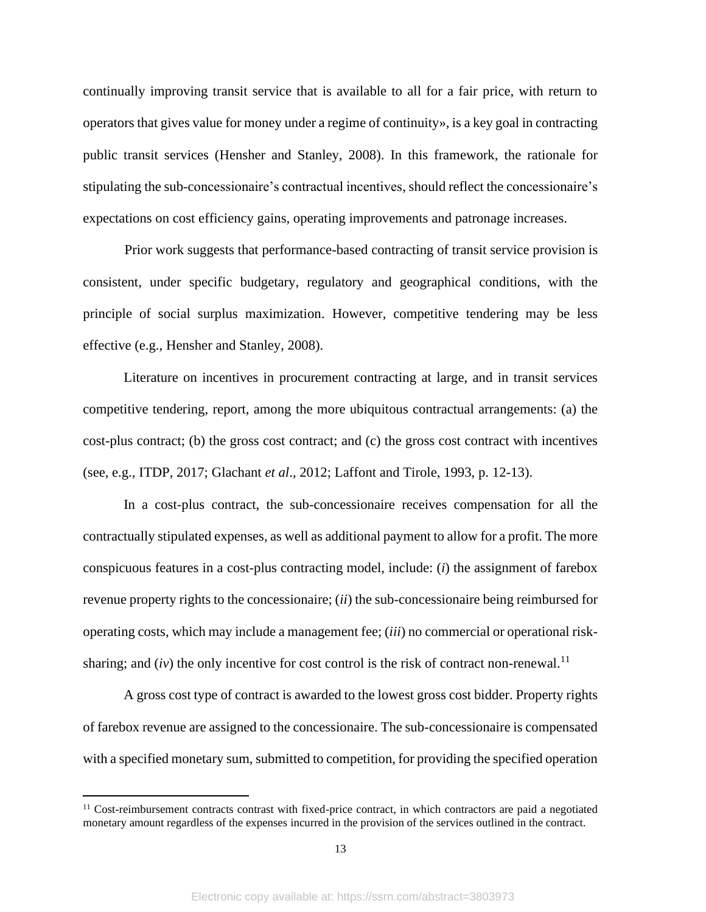continually improving transit service that is available to all for a fair price, with return to operators that gives value for money under a regime of continuity», is a key goal in contracting public transit services (Hensher and Stanley, 2008). In this framework, the rationale for stipulating the sub-concessionaire's contractual incentives, should reflect the concessionaire's expectations on cost efficiency gains, operating improvements and patronage increases.

Prior work suggests that performance-based contracting of transit service provision is consistent, under specific budgetary, regulatory and geographical conditions, with the principle of social surplus maximization. However, competitive tendering may be less effective (e.g., Hensher and Stanley, 2008).

Literature on incentives in procurement contracting at large, and in transit services competitive tendering, report, among the more ubiquitous contractual arrangements: (a) the cost-plus contract; (b) the gross cost contract; and (c) the gross cost contract with incentives (see, e.g., ITDP, 2017; Glachant *et al*., 2012; Laffont and Tirole, 1993, p. 12-13).

In a cost-plus contract, the sub-concessionaire receives compensation for all the contractually stipulated expenses, as well as additional payment to allow for a profit. The more conspicuous features in a cost-plus contracting model, include: (*i*) the assignment of farebox revenue property rights to the concessionaire; (*ii*) the sub-concessionaire being reimbursed for operating costs, which may include a management fee; (*iii*) no commercial or operational risksharing; and  $(iv)$  the only incentive for cost control is the risk of contract non-renewal.<sup>11</sup>

A gross cost type of contract is awarded to the lowest gross cost bidder. Property rights of farebox revenue are assigned to the concessionaire. The sub-concessionaire is compensated with a specified monetary sum, submitted to competition, for providing the specified operation

<sup>&</sup>lt;sup>11</sup> Cost-reimbursement contracts contrast with fixed-price contract, in which contractors are paid a negotiated monetary amount regardless of the expenses incurred in the provision of the services outlined in the contract.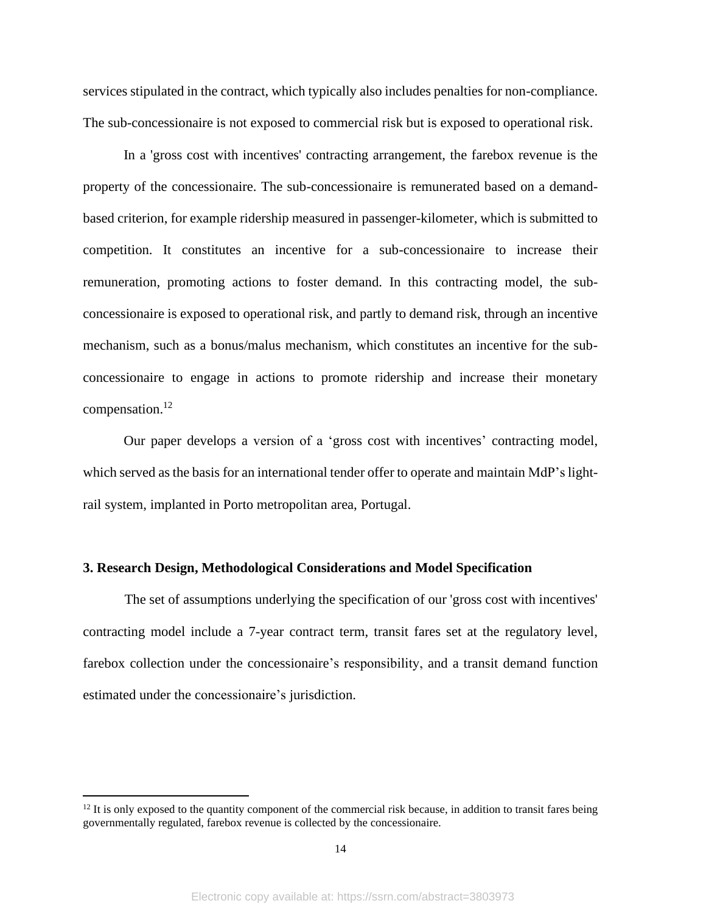services stipulated in the contract, which typically also includes penalties for non-compliance. The sub-concessionaire is not exposed to commercial risk but is exposed to operational risk.

In a 'gross cost with incentives' contracting arrangement, the farebox revenue is the property of the concessionaire. The sub-concessionaire is remunerated based on a demandbased criterion, for example ridership measured in passenger-kilometer, which is submitted to competition. It constitutes an incentive for a sub-concessionaire to increase their remuneration, promoting actions to foster demand. In this contracting model, the subconcessionaire is exposed to operational risk, and partly to demand risk, through an incentive mechanism, such as a bonus/malus mechanism, which constitutes an incentive for the subconcessionaire to engage in actions to promote ridership and increase their monetary compensation. 12

Our paper develops a version of a 'gross cost with incentives' contracting model, which served as the basis for an international tender offer to operate and maintain MdP's lightrail system, implanted in Porto metropolitan area, Portugal.

#### **3. Research Design, Methodological Considerations and Model Specification**

The set of assumptions underlying the specification of our 'gross cost with incentives' contracting model include a 7-year contract term, transit fares set at the regulatory level, farebox collection under the concessionaire's responsibility, and a transit demand function estimated under the concessionaire's jurisdiction.

 $12$  It is only exposed to the quantity component of the commercial risk because, in addition to transit fares being governmentally regulated, farebox revenue is collected by the concessionaire.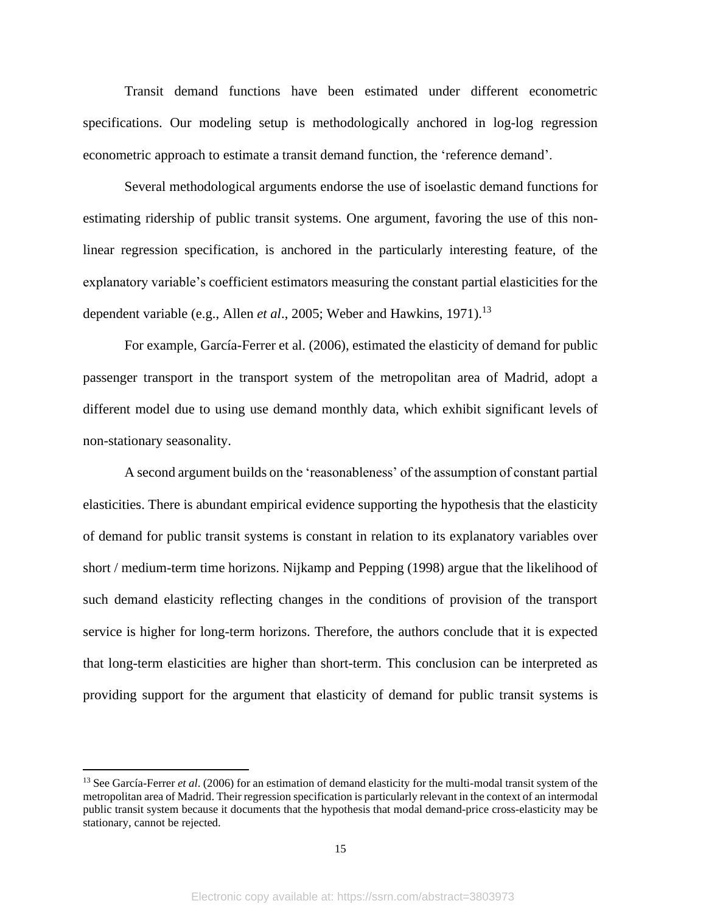Transit demand functions have been estimated under different econometric specifications. Our modeling setup is methodologically anchored in log-log regression econometric approach to estimate a transit demand function, the 'reference demand'.

Several methodological arguments endorse the use of isoelastic demand functions for estimating ridership of public transit systems. One argument, favoring the use of this nonlinear regression specification, is anchored in the particularly interesting feature, of the explanatory variable's coefficient estimators measuring the constant partial elasticities for the dependent variable (e.g., Allen *et al.*, 2005; Weber and Hawkins, 1971).<sup>13</sup>

For example, García-Ferrer et al. (2006), estimated the elasticity of demand for public passenger transport in the transport system of the metropolitan area of Madrid, adopt a different model due to using use demand monthly data, which exhibit significant levels of non-stationary seasonality.

A second argument builds on the 'reasonableness' of the assumption of constant partial elasticities. There is abundant empirical evidence supporting the hypothesis that the elasticity of demand for public transit systems is constant in relation to its explanatory variables over short / medium-term time horizons. Nijkamp and Pepping (1998) argue that the likelihood of such demand elasticity reflecting changes in the conditions of provision of the transport service is higher for long-term horizons. Therefore, the authors conclude that it is expected that long-term elasticities are higher than short-term. This conclusion can be interpreted as providing support for the argument that elasticity of demand for public transit systems is

<sup>&</sup>lt;sup>13</sup> See García-Ferrer *et al.* (2006) for an estimation of demand elasticity for the multi-modal transit system of the metropolitan area of Madrid. Their regression specification is particularly relevant in the context of an intermodal public transit system because it documents that the hypothesis that modal demand-price cross-elasticity may be stationary, cannot be rejected.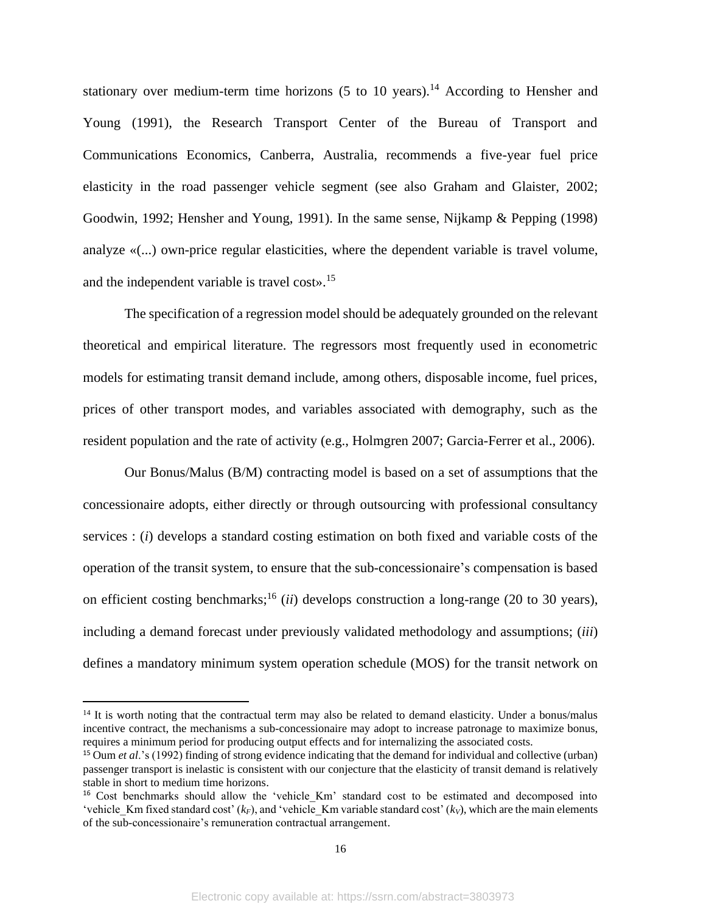stationary over medium-term time horizons  $(5 \text{ to } 10 \text{ years})$ .<sup>14</sup> According to Hensher and Young (1991), the Research Transport Center of the Bureau of Transport and Communications Economics, Canberra, Australia, recommends a five-year fuel price elasticity in the road passenger vehicle segment (see also Graham and Glaister, 2002; Goodwin, 1992; Hensher and Young, 1991). In the same sense, Nijkamp & Pepping (1998) analyze «(...) own-price regular elasticities, where the dependent variable is travel volume, and the independent variable is travel cost». 15

The specification of a regression model should be adequately grounded on the relevant theoretical and empirical literature. The regressors most frequently used in econometric models for estimating transit demand include, among others, disposable income, fuel prices, prices of other transport modes, and variables associated with demography, such as the resident population and the rate of activity (e.g., Holmgren 2007; Garcia-Ferrer et al., 2006).

Our Bonus/Malus (B/M) contracting model is based on a set of assumptions that the concessionaire adopts, either directly or through outsourcing with professional consultancy services : (*i*) develops a standard costing estimation on both fixed and variable costs of the operation of the transit system, to ensure that the sub-concessionaire's compensation is based on efficient costing benchmarks; <sup>16</sup> (*ii*) develops construction a long-range (20 to 30 years), including a demand forecast under previously validated methodology and assumptions; (*iii*) defines a mandatory minimum system operation schedule (MOS) for the transit network on

<sup>&</sup>lt;sup>14</sup> It is worth noting that the contractual term may also be related to demand elasticity. Under a bonus/malus incentive contract, the mechanisms a sub-concessionaire may adopt to increase patronage to maximize bonus, requires a minimum period for producing output effects and for internalizing the associated costs.

<sup>15</sup> Oum *et al*.'s (1992) finding of strong evidence indicating that the demand for individual and collective (urban) passenger transport is inelastic is consistent with our conjecture that the elasticity of transit demand is relatively stable in short to medium time horizons.

<sup>&</sup>lt;sup>16</sup> Cost benchmarks should allow the 'vehicle Km' standard cost to be estimated and decomposed into 'vehicle Km fixed standard cost'  $(k_F)$ , and 'vehicle Km variable standard cost'  $(k_V)$ , which are the main elements of the sub-concessionaire's remuneration contractual arrangement.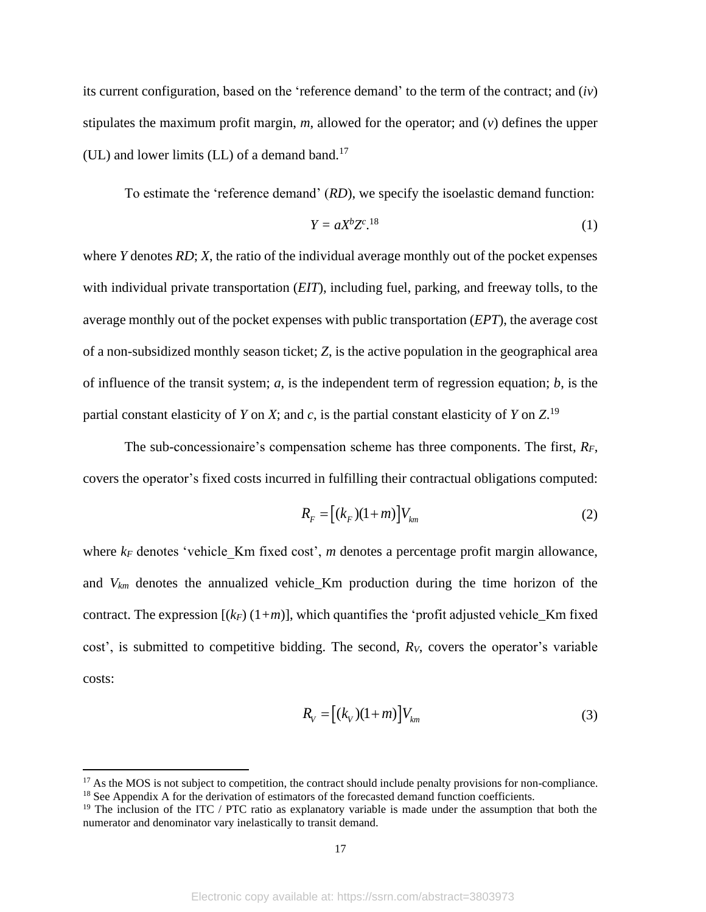its current configuration, based on the 'reference demand' to the term of the contract; and (*iv*) stipulates the maximum profit margin, *m*, allowed for the operator; and (*v*) defines the upper (UL) and lower limits (LL) of a demand band. 17

To estimate the 'reference demand' (*RD*), we specify the isoelastic demand function:

$$
Y = aX^b Z^c.^{18} \tag{1}
$$

where *Y* denotes *RD*; *X*, the ratio of the individual average monthly out of the pocket expenses with individual private transportation (*EIT*), including fuel, parking, and freeway tolls, to the average monthly out of the pocket expenses with public transportation (*EPT*), the average cost of a non-subsidized monthly season ticket; *Z*, is the active population in the geographical area of influence of the transit system; *a*, is the independent term of regression equation; *b*, is the partial constant elasticity of *Y* on *X*; and *c*, is the partial constant elasticity of *Y* on *Z*. 19

The sub-concessionaire's compensation scheme has three components. The first, *RF*, covers the operator's fixed costs incurred in fulfilling their contractual obligations computed:

$$
R_F = [(k_F)(1+m)]V_{km}
$$
\n(2)

where  $k_F$  denotes 'vehicle Km fixed cost', *m* denotes a percentage profit margin allowance, and  $V_{km}$  denotes the annualized vehicle\_Km production during the time horizon of the contract. The expression  $[(k_F)(1+m)]$ , which quantifies the 'profit adjusted vehicle\_Km fixed cost', is submitted to competitive bidding. The second, *RV*, covers the operator's variable costs:

$$
R_{V} = [(k_{V})(1+m)]V_{km}
$$
\n(3)

 $17$  As the MOS is not subject to competition, the contract should include penalty provisions for non-compliance. <sup>18</sup> See Appendix A for the derivation of estimators of the forecasted demand function coefficients.

<sup>&</sup>lt;sup>19</sup> The inclusion of the ITC / PTC ratio as explanatory variable is made under the assumption that both the numerator and denominator vary inelastically to transit demand.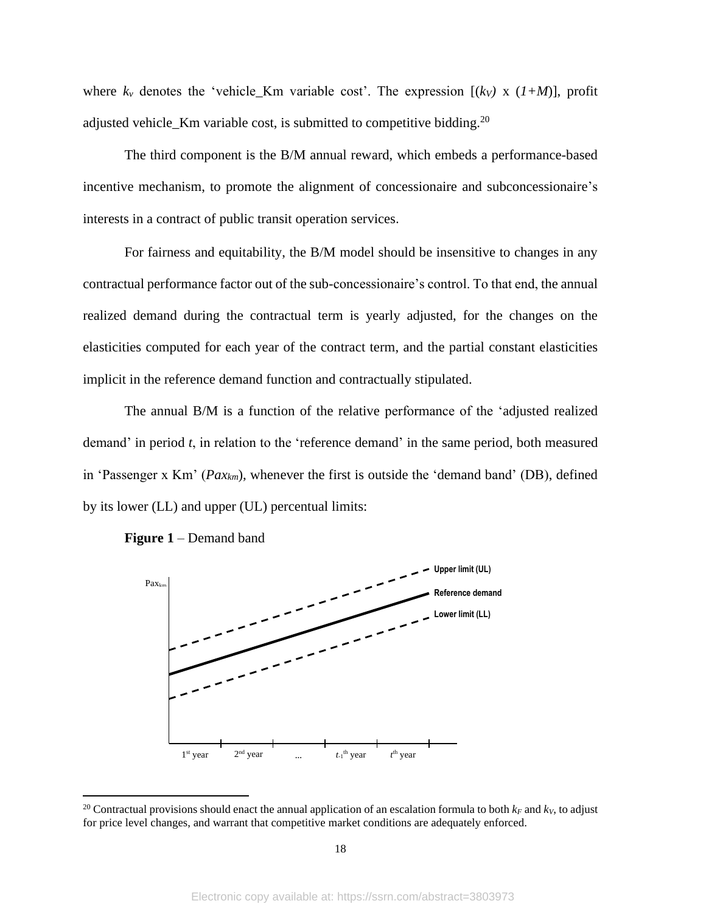where  $k_v$  denotes the 'vehicle\_Km variable cost'. The expression  $[(k_v) \times (1+M)]$ , profit adjusted vehicle\_Km variable cost, is submitted to competitive bidding.<sup>20</sup>

The third component is the B/M annual reward, which embeds a performance-based incentive mechanism, to promote the alignment of concessionaire and subconcessionaire's interests in a contract of public transit operation services.

For fairness and equitability, the B/M model should be insensitive to changes in any contractual performance factor out of the sub-concessionaire's control. To that end, the annual realized demand during the contractual term is yearly adjusted, for the changes on the elasticities computed for each year of the contract term, and the partial constant elasticities implicit in the reference demand function and contractually stipulated.

The annual B/M is a function of the relative performance of the 'adjusted realized demand' in period *t*, in relation to the 'reference demand' in the same period, both measured in 'Passenger x Km' (*Paxkm*), whenever the first is outside the 'demand band' (DB), defined by its lower (LL) and upper (UL) percentual limits:





<sup>&</sup>lt;sup>20</sup> Contractual provisions should enact the annual application of an escalation formula to both  $k_F$  and  $k_V$ , to adjust for price level changes, and warrant that competitive market conditions are adequately enforced.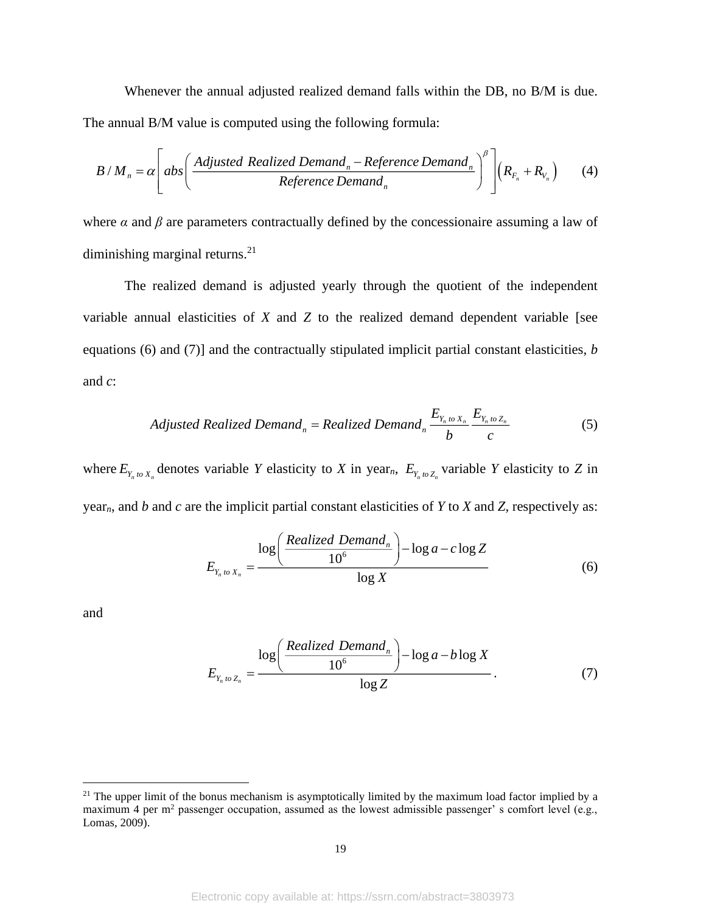Whenever the annual adjusted realized demand falls within the DB, no B/M is due. The annual B/M value is computed using the following formula:

$$
B/M_n = \alpha \left[ abs \left( \frac{Adjusted Realized Demand_n - Reference Demand_n}{Reference Demand_n} \right)^{\beta} \right] \left( R_{F_n} + R_{V_n} \right) \tag{4}
$$

where  $\alpha$  and  $\beta$  are parameters contractually defined by the concessionaire assuming a law of diminishing marginal returns.<sup>21</sup>

The realized demand is adjusted yearly through the quotient of the independent variable annual elasticities of *X* and *Z* to the realized demand dependent variable [see equations (6) and (7)] and the contractually stipulated implicit partial constant elasticities, *b* and *c*:

$$
Adjusted\ Realized\ Demand_{n} = Realized\ Demand_{n} \frac{E_{Y_{n} \text{ to } X_{n}}}{b} \frac{E_{Y_{n} \text{ to } Z_{n}}}{c}
$$
 (5)

where  $E_{Y_n \omega X_n}$  denotes variable Y elasticity to X in year<sub>n</sub>,  $E_{Y_n \omega Z_n}$  variable Y elasticity to Z in year*n*, and *b* and *c* are the implicit partial constant elasticities of *Y* to *X* and *Z*, respectively as:

$$
E_{Y_n \text{ to } X_n} = \frac{\log \left( \frac{Realized\ Demand_n}{10^6} \right) - \log a - c \log Z}{\log X} \tag{6}
$$

and

$$
E_{Y_n \text{ to } Z_n} = \frac{\log \left( \frac{Realized\ Demand_n}{10^6} \right) - \log a - b \log X}{\log Z} \tag{7}
$$

<sup>&</sup>lt;sup>21</sup> The upper limit of the bonus mechanism is asymptotically limited by the maximum load factor implied by a maximum 4 per m<sup>2</sup> passenger occupation, assumed as the lowest admissible passenger' s comfort level (e.g., Lomas, 2009).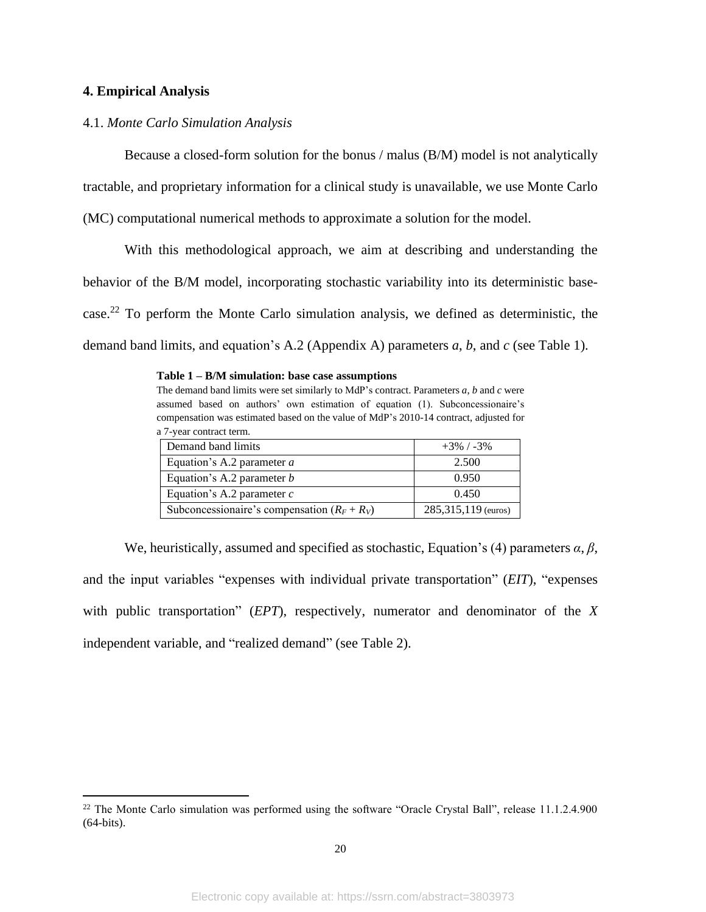## **4. Empirical Analysis**

## 4.1. *Monte Carlo Simulation Analysis*

Because a closed-form solution for the bonus / malus (B/M) model is not analytically

tractable, and proprietary information for a clinical study is unavailable, we use Monte Carlo

(MC) computational numerical methods to approximate a solution for the model.

With this methodological approach, we aim at describing and understanding the behavior of the B/M model, incorporating stochastic variability into its deterministic basecase.<sup>22</sup> To perform the Monte Carlo simulation analysis, we defined as deterministic, the demand band limits, and equation's A.2 (Appendix A) parameters *a*, *b*, and *c* (see Table 1).

#### **Table 1 – B/M simulation: base case assumptions**

The demand band limits were set similarly to MdP's contract. Parameters *a*, *b* and *c* were assumed based on authors' own estimation of equation (1). Subconcessionaire's compensation was estimated based on the value of MdP's 2010-14 contract, adjusted for a 7-year contract term.

| Demand band limits                             | $+3\%$ / -3%          |
|------------------------------------------------|-----------------------|
| Equation's A.2 parameter $a$                   | 2.500                 |
| Equation's A.2 parameter $b$                   | 0.950                 |
| Equation's A.2 parameter $c$                   | 0.450                 |
| Subconcessionaire's compensation $(R_F + R_V)$ | 285, 315, 119 (euros) |

We, heuristically, assumed and specified as stochastic, Equation's (4) parameters *α*, *β*, and the input variables "expenses with individual private transportation" (*EIT*), "expenses with public transportation" (*EPT*), respectively, numerator and denominator of the *X* independent variable, and "realized demand" (see Table 2).

<sup>&</sup>lt;sup>22</sup> The Monte Carlo simulation was performed using the software "Oracle Crystal Ball", release 11.1.2.4.900 (64-bits).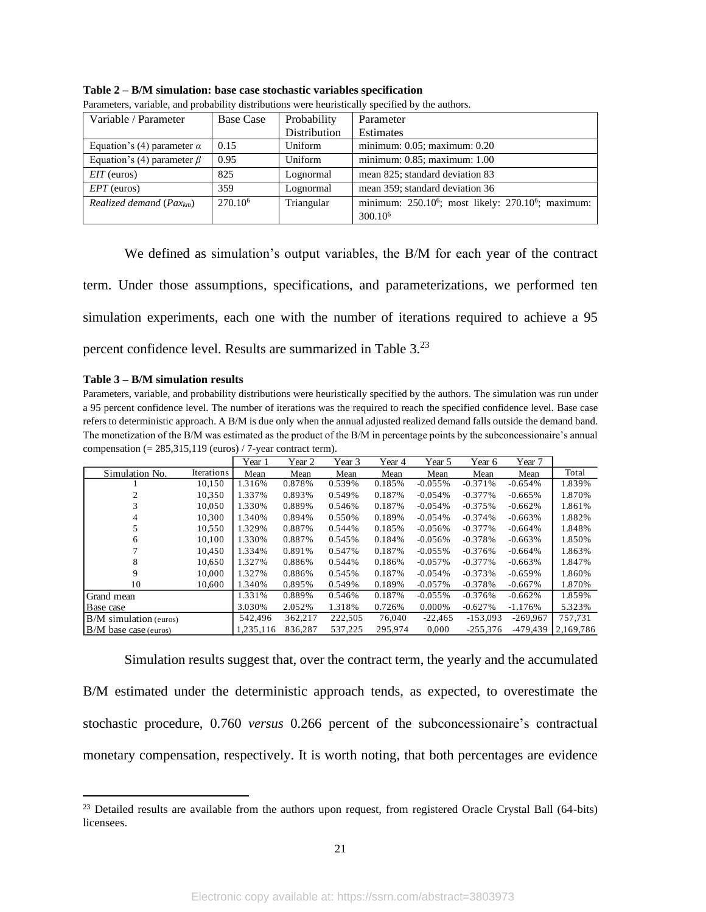| Variable / Parameter              | <b>Base Case</b>    | Probability  | Parameter                                                                  |
|-----------------------------------|---------------------|--------------|----------------------------------------------------------------------------|
|                                   |                     | Distribution | Estimates                                                                  |
| Equation's (4) parameter $\alpha$ | 0.15                | Uniform      | minimum: $0.05$ ; maximum: $0.20$                                          |
| Equation's (4) parameter $\beta$  | 0.95                | Uniform      | minimum: 0.85; maximum: 1.00                                               |
| $EIT$ (euros)                     | 825                 | Lognormal    | mean 825; standard deviation 83                                            |
| $EPT$ (euros)                     | 359                 | Lognormal    | mean 359; standard deviation 36                                            |
| Realized demand ( $Pax_{km}$ )    | 270.10 <sup>6</sup> | Triangular   | minimum: 250.10 <sup>6</sup> ; most likely: 270.10 <sup>6</sup> ; maximum: |
|                                   |                     |              | 300.10 <sup>6</sup>                                                        |

**Table 2 – B/M simulation: base case stochastic variables specification**  Parameters, variable, and probability distributions were heuristically specified by the authors.

We defined as simulation's output variables, the B/M for each year of the contract term. Under those assumptions, specifications, and parameterizations, we performed ten simulation experiments, each one with the number of iterations required to achieve a 95 percent confidence level. Results are summarized in Table 3.<sup>23</sup>

#### **Table 3 – B/M simulation results**

Parameters, variable, and probability distributions were heuristically specified by the authors. The simulation was run under a 95 percent confidence level. The number of iterations was the required to reach the specified confidence level. Base case refers to deterministic approach. A B/M is due only when the annual adjusted realized demand falls outside the demand band. The monetization of the B/M was estimated as the product of the B/M in percentage points by the subconcessionaire's annual compensation (= 285,315,119 (euros) / 7-year contract term).

|                          |            | Year 1    | Year 2  | Year 3  | Year 4  | Year 5     | Year 6     | Year 7     |           |
|--------------------------|------------|-----------|---------|---------|---------|------------|------------|------------|-----------|
| Simulation No.           | Iterations | Mean      | Mean    | Mean    | Mean    | Mean       | Mean       | Mean       | Total     |
|                          | 10.150     | 1.316%    | 0.878%  | 0.539%  | 0.185%  | $-0.055\%$ | $-0.371%$  | $-0.654%$  | 1.839%    |
|                          | 10.350     | 1.337%    | 0.893%  | 0.549%  | 0.187%  | $-0.054%$  | $-0.377%$  | $-0.665%$  | 1.870%    |
|                          | 10.050     | 1.330%    | 0.889%  | 0.546%  | 0.187%  | $-0.054%$  | $-0.375%$  | $-0.662%$  | 1.861%    |
| 4                        | 10.300     | 1.340%    | 0.894%  | 0.550%  | 0.189%  | $-0.054%$  | $-0.374%$  | $-0.663%$  | 1.882%    |
|                          | 10,550     | 1.329%    | 0.887%  | 0.544%  | 0.185%  | $-0.056%$  | $-0.377%$  | $-0.664%$  | 1.848%    |
| 6                        | 10.100     | 1.330%    | 0.887%  | 0.545%  | 0.184%  | $-0.056%$  | $-0.378%$  | $-0.663%$  | 1.850%    |
|                          | 10.450     | 1.334%    | 0.891%  | 0.547%  | 0.187%  | $-0.055%$  | $-0.376%$  | $-0.664%$  | 1.863%    |
| 8                        | 10.650     | 1.327%    | 0.886%  | 0.544%  | 0.186%  | $-0.057%$  | $-0.377\%$ | $-0.663%$  | 1.847%    |
| 9                        | 10,000     | 1.327%    | 0.886%  | 0.545%  | 0.187%  | $-0.054%$  | $-0.373%$  | $-0.659%$  | 1.860%    |
| 10                       | 10.600     | 1.340%    | 0.895%  | 0.549%  | 0.189%  | $-0.057%$  | $-0.378%$  | $-0.667%$  | 1.870%    |
| Grand mean               |            | 1.331%    | 0.889%  | 0.546%  | 0.187%  | $-0.055%$  | $-0.376%$  | $-0.662%$  | 1.859%    |
| Base case                |            | 3.030%    | 2.052%  | 1.318%  | 0.726%  | 0.000%     | $-0.627%$  | $-1.176%$  | 5.323%    |
| $B/M$ simulation (euros) |            | 542,496   | 362.217 | 222.505 | 76,040  | $-22.465$  | $-153.093$ | $-269.967$ | 757.731   |
| $B/M$ base case (euros)  |            | 1.235.116 | 836.287 | 537.225 | 295,974 | 0.000      | $-255,376$ | -479.439   | 2.169.786 |

Simulation results suggest that, over the contract term, the yearly and the accumulated B/M estimated under the deterministic approach tends, as expected, to overestimate the stochastic procedure, 0.760 *versus* 0.266 percent of the subconcessionaire's contractual monetary compensation, respectively. It is worth noting, that both percentages are evidence

<sup>&</sup>lt;sup>23</sup> Detailed results are available from the authors upon request, from registered Oracle Crystal Ball (64-bits) licensees.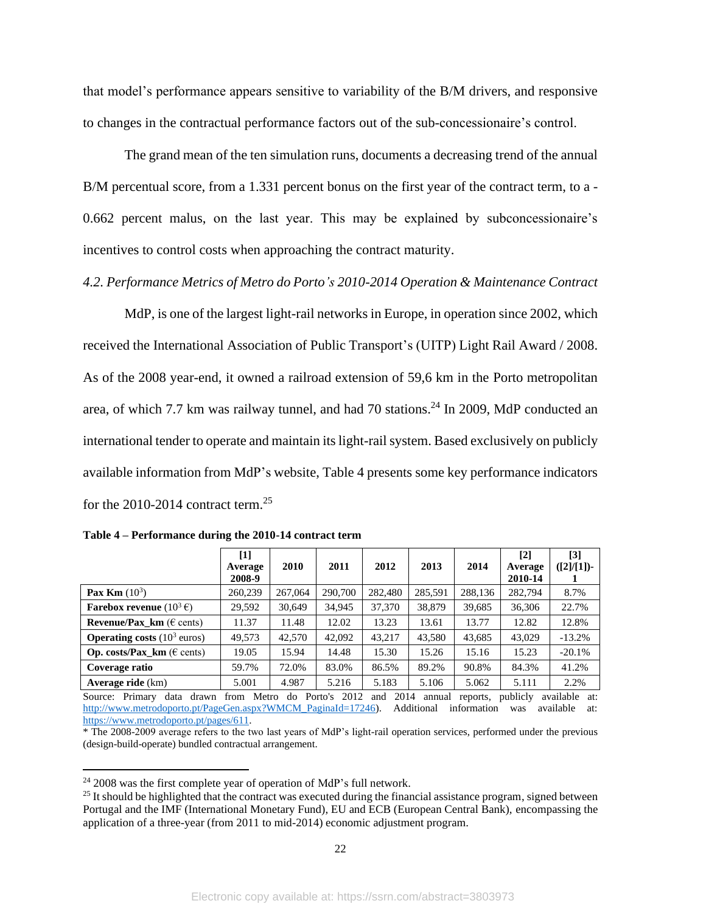that model's performance appears sensitive to variability of the B/M drivers, and responsive to changes in the contractual performance factors out of the sub-concessionaire's control.

The grand mean of the ten simulation runs, documents a decreasing trend of the annual B/M percentual score, from a 1.331 percent bonus on the first year of the contract term, to a -0.662 percent malus, on the last year. This may be explained by subconcessionaire's incentives to control costs when approaching the contract maturity.

*4.2. Performance Metrics of Metro do Porto's 2010-2014 Operation & Maintenance Contract* 

MdP, is one of the largest light-rail networks in Europe, in operation since 2002, which received the International Association of Public Transport's (UITP) Light Rail Award / 2008. As of the 2008 year-end, it owned a railroad extension of 59,6 km in the Porto metropolitan area, of which 7.7 km was railway tunnel, and had 70 stations.<sup>24</sup> In 2009, MdP conducted an international tender to operate and maintain its light-rail system. Based exclusively on publicly available information from MdP's website, Table 4 presents some key performance indicators for the 2010-2014 contract term.<sup>25</sup>

| $[1]$<br>Average<br>2008-9 | 2010    | 2011    | 2012    | 2013    | 2014    | $\lceil 2 \rceil$<br>Average<br>2010-14 | [3]<br>$([2]/[1])$ - |
|----------------------------|---------|---------|---------|---------|---------|-----------------------------------------|----------------------|
| 260,239                    | 267,064 | 290,700 | 282,480 | 285,591 | 288,136 | 282,794                                 | 8.7%                 |
| 29,592                     | 30,649  | 34,945  | 37,370  | 38,879  | 39,685  | 36,306                                  | 22.7%                |
| 11.37                      | 11.48   | 12.02   | 13.23   | 13.61   | 13.77   | 12.82                                   | 12.8%                |
| 49.573                     | 42,570  | 42,092  | 43.217  | 43.580  | 43.685  | 43,029                                  | $-13.2%$             |
| 19.05                      | 15.94   | 14.48   | 15.30   | 15.26   | 15.16   | 15.23                                   | $-20.1%$             |
| 59.7%                      | 72.0%   | 83.0%   | 86.5%   | 89.2%   | 90.8%   | 84.3%                                   | 41.2%                |
| 5.001                      | 4.987   | 5.216   | 5.183   | 5.106   | 5.062   | 5.111                                   | 2.2%                 |
|                            |         |         |         |         |         |                                         |                      |

|  |  |  |  | Table 4 – Performance during the 2010-14 contract term |
|--|--|--|--|--------------------------------------------------------|
|--|--|--|--|--------------------------------------------------------|

Source: Primary data drawn from Metro do Porto's 2012 and 2014 annual reports, publicly available at: [http://www.metrodoporto.pt/PageGen.aspx?WMCM\\_PaginaId=17246\)](http://www.metrodoporto.pt/PageGen.aspx?WMCM_PaginaId=17246). Additional information was available at: [https://www.metrodoporto.pt/pages/611.](https://www.metrodoporto.pt/pages/611)

\* The 2008-2009 average refers to the two last years of MdP's light-rail operation services, performed under the previous (design-build-operate) bundled contractual arrangement.

 $24$  2008 was the first complete year of operation of MdP's full network.

<sup>&</sup>lt;sup>25</sup> It should be highlighted that the contract was executed during the financial assistance program, signed between Portugal and the IMF (International Monetary Fund), EU and ECB (European Central Bank), encompassing the application of a three-year (from 2011 to mid-2014) economic adjustment program.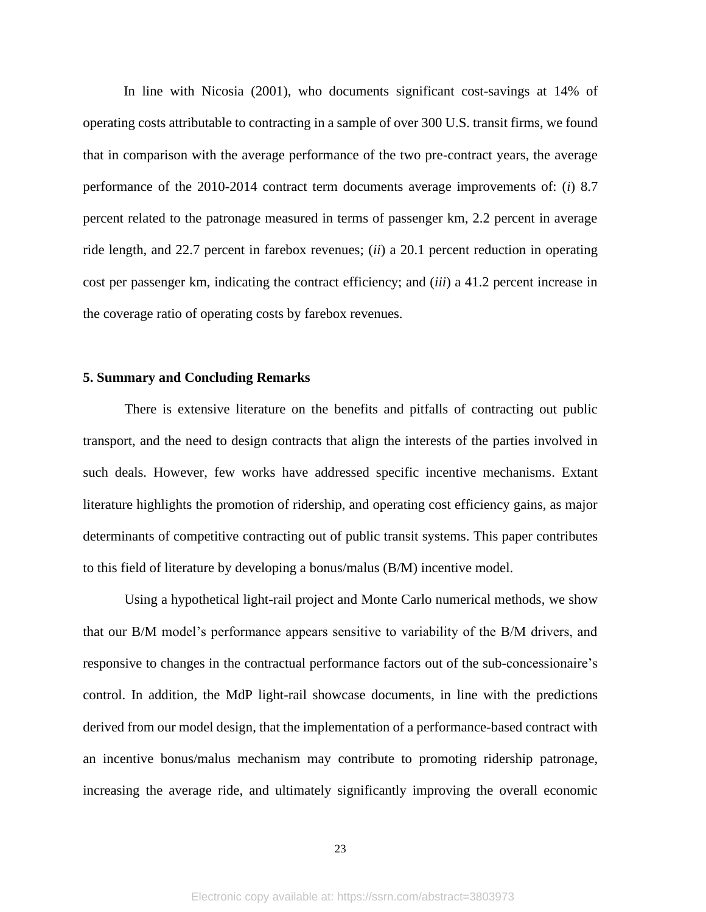In line with Nicosia (2001), who documents significant cost-savings at 14% of operating costs attributable to contracting in a sample of over 300 U.S. transit firms, we found that in comparison with the average performance of the two pre-contract years, the average performance of the 2010-2014 contract term documents average improvements of: (*i*) 8.7 percent related to the patronage measured in terms of passenger km, 2.2 percent in average ride length, and 22.7 percent in farebox revenues; (*ii*) a 20.1 percent reduction in operating cost per passenger km, indicating the contract efficiency; and (*iii*) a 41.2 percent increase in the coverage ratio of operating costs by farebox revenues.

## **5. Summary and Concluding Remarks**

There is extensive literature on the benefits and pitfalls of contracting out public transport, and the need to design contracts that align the interests of the parties involved in such deals. However, few works have addressed specific incentive mechanisms. Extant literature highlights the promotion of ridership, and operating cost efficiency gains, as major determinants of competitive contracting out of public transit systems. This paper contributes to this field of literature by developing a bonus/malus (B/M) incentive model.

Using a hypothetical light-rail project and Monte Carlo numerical methods, we show that our B/M model's performance appears sensitive to variability of the B/M drivers, and responsive to changes in the contractual performance factors out of the sub-concessionaire's control. In addition, the MdP light-rail showcase documents, in line with the predictions derived from our model design, that the implementation of a performance-based contract with an incentive bonus/malus mechanism may contribute to promoting ridership patronage, increasing the average ride, and ultimately significantly improving the overall economic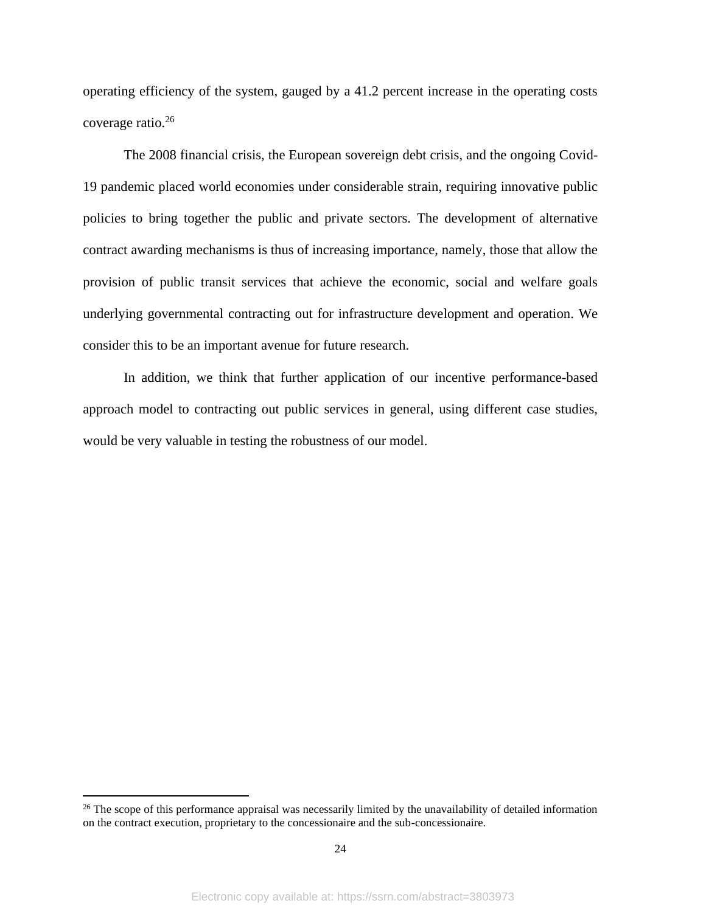operating efficiency of the system, gauged by a 41.2 percent increase in the operating costs coverage ratio. 26

The 2008 financial crisis, the European sovereign debt crisis, and the ongoing Covid-19 pandemic placed world economies under considerable strain, requiring innovative public policies to bring together the public and private sectors. The development of alternative contract awarding mechanisms is thus of increasing importance, namely, those that allow the provision of public transit services that achieve the economic, social and welfare goals underlying governmental contracting out for infrastructure development and operation. We consider this to be an important avenue for future research.

In addition, we think that further application of our incentive performance-based approach model to contracting out public services in general, using different case studies, would be very valuable in testing the robustness of our model.

<sup>&</sup>lt;sup>26</sup> The scope of this performance appraisal was necessarily limited by the unavailability of detailed information on the contract execution, proprietary to the concessionaire and the sub-concessionaire.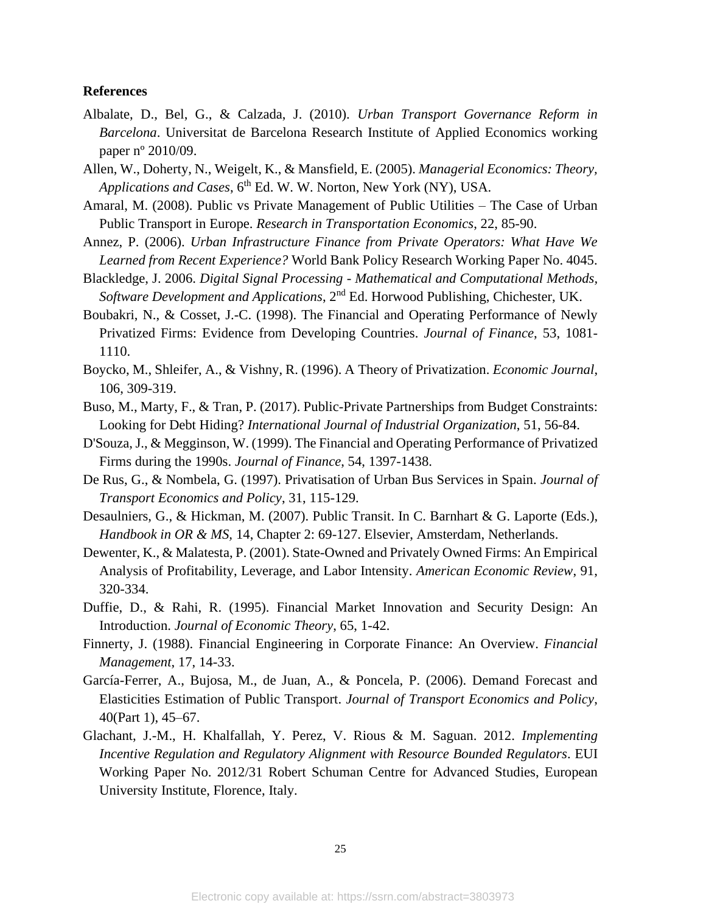#### **References**

- Albalate, D., Bel, G., & Calzada, J. (2010). *Urban Transport Governance Reform in Barcelona*. Universitat de Barcelona Research Institute of Applied Economics working paper nº 2010/09.
- Allen, W., Doherty, N., Weigelt, K., & Mansfield, E. (2005). *Managerial Economics: Theory, Applications and Cases*, 6th Ed. W. W. Norton, New York (NY), USA.
- Amaral, M. (2008). Public vs Private Management of Public Utilities The Case of Urban Public Transport in Europe. *Research in Transportation Economics*, 22, 85-90.
- Annez, P. (2006). *Urban Infrastructure Finance from Private Operators: What Have We Learned from Recent Experience?* World Bank Policy Research Working Paper No. 4045.
- Blackledge, J. 2006. *Digital Signal Processing - Mathematical and Computational Methods,*  Software Development and Applications, 2<sup>nd</sup> Ed. Horwood Publishing, Chichester, UK.
- Boubakri, N., & Cosset, J.-C. (1998). The Financial and Operating Performance of Newly Privatized Firms: Evidence from Developing Countries. *Journal of Finance*, 53, 1081- 1110.
- Boycko, M., Shleifer, A., & Vishny, R. (1996). A Theory of Privatization. *Economic Journal*, 106, 309-319.
- Buso, M., Marty, F., & Tran, P. (2017). Public-Private Partnerships from Budget Constraints: Looking for Debt Hiding? *International Journal of Industrial Organization*, 51, 56-84.
- D'Souza, J., & Megginson, W. (1999). The Financial and Operating Performance of Privatized Firms during the 1990s. *Journal of Finance*, 54, 1397-1438.
- De Rus, G., & Nombela, G. (1997). Privatisation of Urban Bus Services in Spain. *Journal of Transport Economics and Policy*, 31, 115-129.
- Desaulniers, G., & Hickman, M. (2007). Public Transit. In C. Barnhart & G. Laporte (Eds.), *Handbook in OR & MS,* 14, Chapter 2: 69-127. Elsevier, Amsterdam, Netherlands.
- Dewenter, K., & Malatesta, P. (2001). State-Owned and Privately Owned Firms: An Empirical Analysis of Profitability, Leverage, and Labor Intensity. *American Economic Review*, 91, 320-334.
- Duffie, D., & Rahi, R. (1995). Financial Market Innovation and Security Design: An Introduction. *Journal of Economic Theory*, 65, 1-42.
- Finnerty, J. (1988). Financial Engineering in Corporate Finance: An Overview. *Financial Management*, 17, 14-33.
- García-Ferrer, A., Bujosa, M., de Juan, A., & Poncela, P. (2006). Demand Forecast and Elasticities Estimation of Public Transport. *Journal of Transport Economics and Policy*, 40(Part 1), 45–67.
- Glachant, J.-M., H. Khalfallah, Y. Perez, V. Rious & M. Saguan. 2012. *Implementing Incentive Regulation and Regulatory Alignment with Resource Bounded Regulators*. EUI Working Paper No. 2012/31 Robert Schuman Centre for Advanced Studies, European University Institute, Florence, Italy.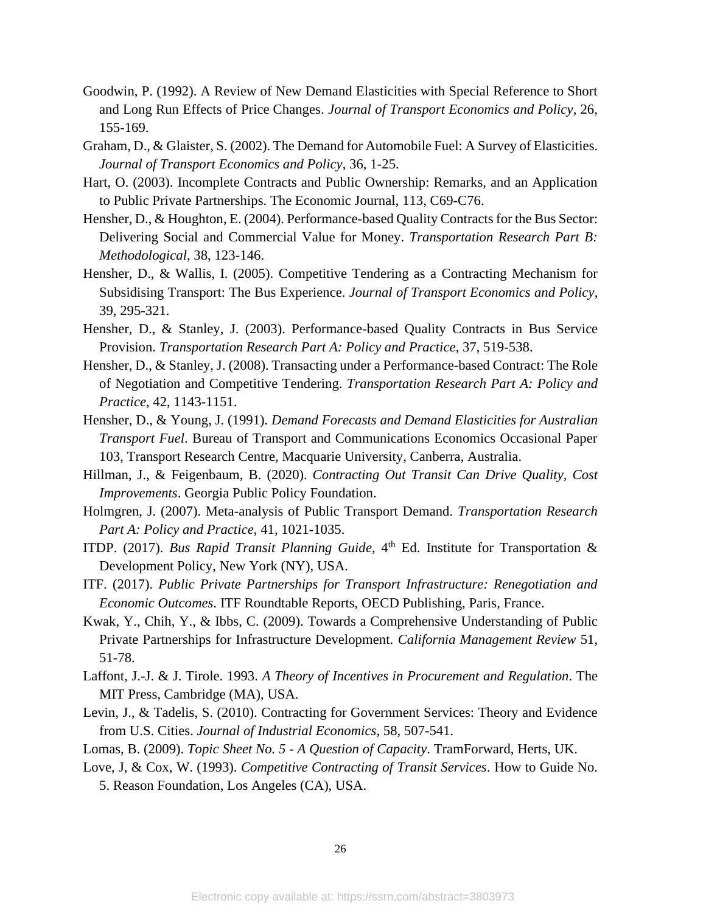- Goodwin, P. (1992). A Review of New Demand Elasticities with Special Reference to Short and Long Run Effects of Price Changes. *Journal of Transport Economics and Policy*, 26, 155-169.
- Graham, D., & Glaister, S. (2002). The Demand for Automobile Fuel: A Survey of Elasticities. *Journal of Transport Economics and Policy*, 36, 1-25.
- Hart, O. (2003). Incomplete Contracts and Public Ownership: Remarks, and an Application to Public Private Partnerships. The Economic Journal, 113, C69-C76.
- Hensher, D., & Houghton, E. (2004). Performance-based Quality Contracts for the Bus Sector: Delivering Social and Commercial Value for Money. *Transportation Research Part B: Methodological*, 38, 123-146.
- Hensher, D., & Wallis, I. (2005). Competitive Tendering as a Contracting Mechanism for Subsidising Transport: The Bus Experience. *Journal of Transport Economics and Policy*, 39, 295-321.
- Hensher, D., & Stanley, J. (2003). Performance-based Quality Contracts in Bus Service Provision. *Transportation Research Part A: Policy and Practice*, 37, 519-538.
- Hensher, D., & Stanley, J. (2008). Transacting under a Performance-based Contract: The Role of Negotiation and Competitive Tendering. *Transportation Research Part A: Policy and Practice*, 42, 1143-1151.
- Hensher, D., & Young, J. (1991). *Demand Forecasts and Demand Elasticities for Australian Transport Fuel*. Bureau of Transport and Communications Economics Occasional Paper 103, Transport Research Centre, Macquarie University, Canberra, Australia.
- Hillman, J., & Feigenbaum, B. (2020). *Contracting Out Transit Can Drive Quality, Cost Improvements*. Georgia Public Policy Foundation.
- Holmgren, J. (2007). Meta-analysis of Public Transport Demand. *Transportation Research Part A: Policy and Practice*, 41, 1021-1035.
- ITDP. (2017). *Bus Rapid Transit Planning Guide*, 4<sup>th</sup> Ed. Institute for Transportation & Development Policy, New York (NY), USA.
- ITF. (2017). *Public Private Partnerships for Transport Infrastructure: Renegotiation and Economic Outcomes*. ITF Roundtable Reports, OECD Publishing, Paris, France.
- Kwak, Y., Chih, Y., & Ibbs, C. (2009). Towards a Comprehensive Understanding of Public Private Partnerships for Infrastructure Development. *California Management Review* 51, 51-78.
- Laffont, J.-J. & J. Tirole. 1993. *A Theory of Incentives in Procurement and Regulation*. The MIT Press, Cambridge (MA), USA.
- Levin, J., & Tadelis, S. (2010). Contracting for Government Services: Theory and Evidence from U.S. Cities. *Journal of Industrial Economics*, 58, 507-541.
- Lomas, B. (2009). *Topic Sheet No. 5 - A Question of Capacity*. TramForward, Herts, UK.
- Love, J, & Cox, W. (1993). *Competitive Contracting of Transit Services*. How to Guide No. 5. Reason Foundation, Los Angeles (CA), USA.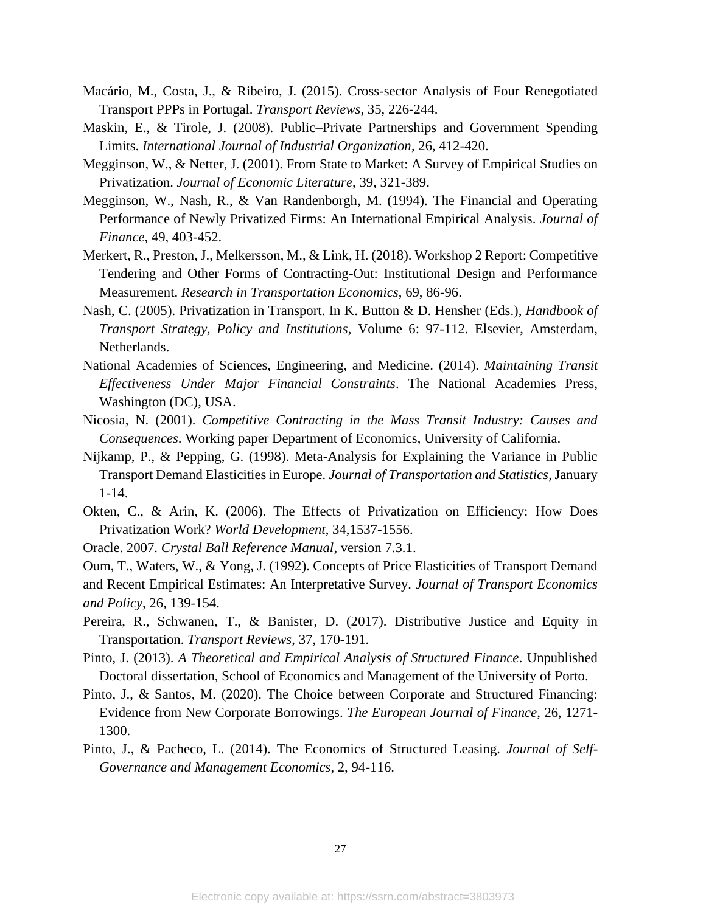- Macário, M., Costa, J., & Ribeiro, J. (2015). Cross-sector Analysis of Four Renegotiated Transport PPPs in Portugal. *Transport Reviews*, 35, 226-244.
- Maskin, E., & Tirole, J. (2008). Public–Private Partnerships and Government Spending Limits. *International Journal of Industrial Organization*, 26, 412-420.
- Megginson, W., & Netter, J. (2001). From State to Market: A Survey of Empirical Studies on Privatization. *Journal of Economic Literature*, 39, 321-389.
- Megginson, W., Nash, R., & Van Randenborgh, M. (1994). The Financial and Operating Performance of Newly Privatized Firms: An International Empirical Analysis. *Journal of Finance*, 49, 403-452.
- Merkert, R., Preston, J., Melkersson, M., & Link, H. (2018). Workshop 2 Report: Competitive Tendering and Other Forms of Contracting-Out: Institutional Design and Performance Measurement. *Research in Transportation Economics*, 69, 86-96.
- Nash, C. (2005). Privatization in Transport. In K. Button & D. Hensher (Eds.), *Handbook of Transport Strategy, Policy and Institutions*, Volume 6: 97-112. Elsevier, Amsterdam, Netherlands.
- National Academies of Sciences, Engineering, and Medicine. (2014). *Maintaining Transit Effectiveness Under Major Financial Constraints*. The National Academies Press, Washington (DC), USA.
- Nicosia, N. (2001). *Competitive Contracting in the Mass Transit Industry: Causes and Consequences*. Working paper Department of Economics, University of California.
- Nijkamp, P., & Pepping, G. (1998). Meta-Analysis for Explaining the Variance in Public Transport Demand Elasticities in Europe. *Journal of Transportation and Statistics*, January 1-14.
- Okten, C., & Arin, K. (2006). The Effects of Privatization on Efficiency: How Does Privatization Work? *World Development*, 34,1537-1556.
- Oracle. 2007. *Crystal Ball Reference Manual*, version 7.3.1.

Oum, T., Waters, W., & Yong, J. (1992). Concepts of Price Elasticities of Transport Demand and Recent Empirical Estimates: An Interpretative Survey*. Journal of Transport Economics and Policy*, 26, 139-154.

- Pereira, R., Schwanen, T., & Banister, D. (2017). Distributive Justice and Equity in Transportation. *Transport Reviews*, 37, 170-191.
- Pinto, J. (2013). *A Theoretical and Empirical Analysis of Structured Finance*. Unpublished Doctoral dissertation, School of Economics and Management of the University of Porto.
- Pinto, J., & Santos, M. (2020). The Choice between Corporate and Structured Financing: Evidence from New Corporate Borrowings. *The European Journal of Finance*, 26, 1271- 1300.
- Pinto, J., & Pacheco, L. (2014). The Economics of Structured Leasing. *Journal of Self-Governance and Management Economics*, 2, 94-116.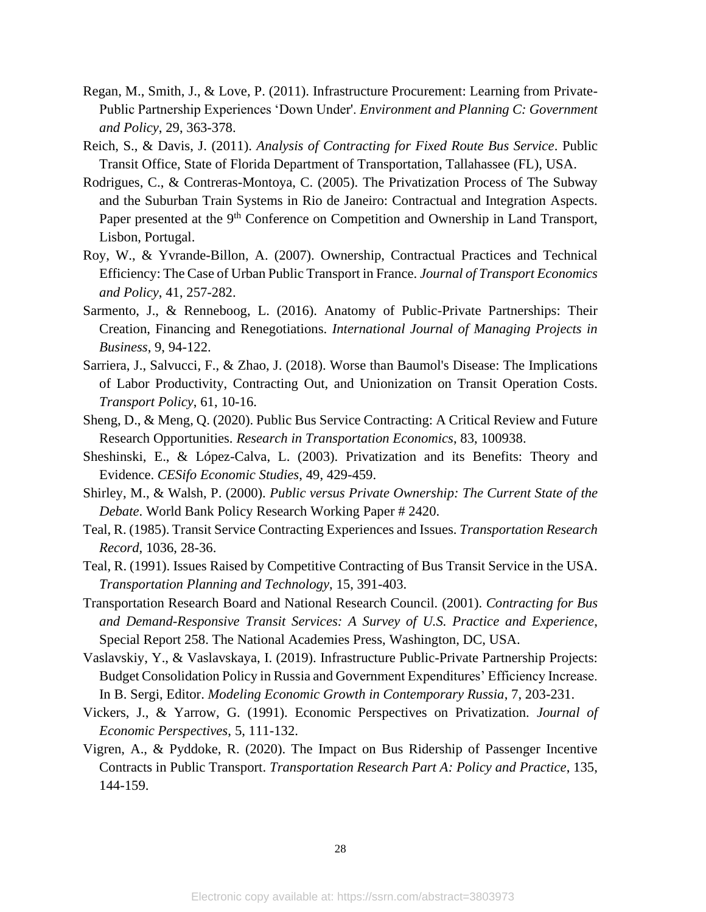- Regan, M., Smith, J., & Love, P. (2011). Infrastructure Procurement: Learning from Private-Public Partnership Experiences 'Down Under'. *Environment and Planning C: Government and Policy*, 29, 363-378.
- Reich, S., & Davis, J. (2011). *Analysis of Contracting for Fixed Route Bus Service*. Public Transit Office, State of Florida Department of Transportation, Tallahassee (FL), USA.
- Rodrigues, C., & Contreras-Montoya, C. (2005). The Privatization Process of The Subway and the Suburban Train Systems in Rio de Janeiro: Contractual and Integration Aspects. Paper presented at the 9<sup>th</sup> Conference on Competition and Ownership in Land Transport, Lisbon, Portugal.
- Roy, W., & Yvrande-Billon, A. (2007). Ownership, Contractual Practices and Technical Efficiency: The Case of Urban Public Transport in France. *Journal of Transport Economics and Policy*, 41, 257-282.
- Sarmento, J., & Renneboog, L. (2016). Anatomy of Public-Private Partnerships: Their Creation, Financing and Renegotiations. *International Journal of Managing Projects in Business*, 9, 94-122.
- Sarriera, J., Salvucci, F., & Zhao, J. (2018). Worse than Baumol's Disease: The Implications of Labor Productivity, Contracting Out, and Unionization on Transit Operation Costs. *Transport Policy*, 61, 10-16.
- Sheng, D., & Meng, Q. (2020). Public Bus Service Contracting: A Critical Review and Future Research Opportunities. *Research in Transportation Economics*, 83, 100938.
- Sheshinski, E., & López-Calva, L. (2003). Privatization and its Benefits: Theory and Evidence. *CESifo Economic Studies*, 49, 429-459.
- Shirley, M., & Walsh, P. (2000). *Public versus Private Ownership: The Current State of the Debate*. World Bank Policy Research Working Paper # 2420.
- Teal, R. (1985). Transit Service Contracting Experiences and Issues. *Transportation Research Record*, 1036, 28-36.
- Teal, R. (1991). Issues Raised by Competitive Contracting of Bus Transit Service in the USA. *Transportation Planning and Technology*, 15, 391-403.
- Transportation Research Board and National Research Council. (2001). *Contracting for Bus and Demand-Responsive Transit Services: A Survey of U.S. Practice and Experience*, Special Report 258. The National Academies Press, Washington, DC, USA.
- Vaslavskiy, Y., & Vaslavskaya, I. (2019). Infrastructure Public-Private Partnership Projects: Budget Consolidation Policy in Russia and Government Expenditures' Efficiency Increase. In B. Sergi, Editor. *Modeling Economic Growth in Contemporary Russia*, 7, 203-231.
- Vickers, J., & Yarrow, G. (1991). Economic Perspectives on Privatization. *Journal of Economic Perspectives*, 5, 111-132.
- Vigren, A., & Pyddoke, R. (2020). The Impact on Bus Ridership of Passenger Incentive Contracts in Public Transport. *Transportation Research Part A: Policy and Practice*, 135, 144-159.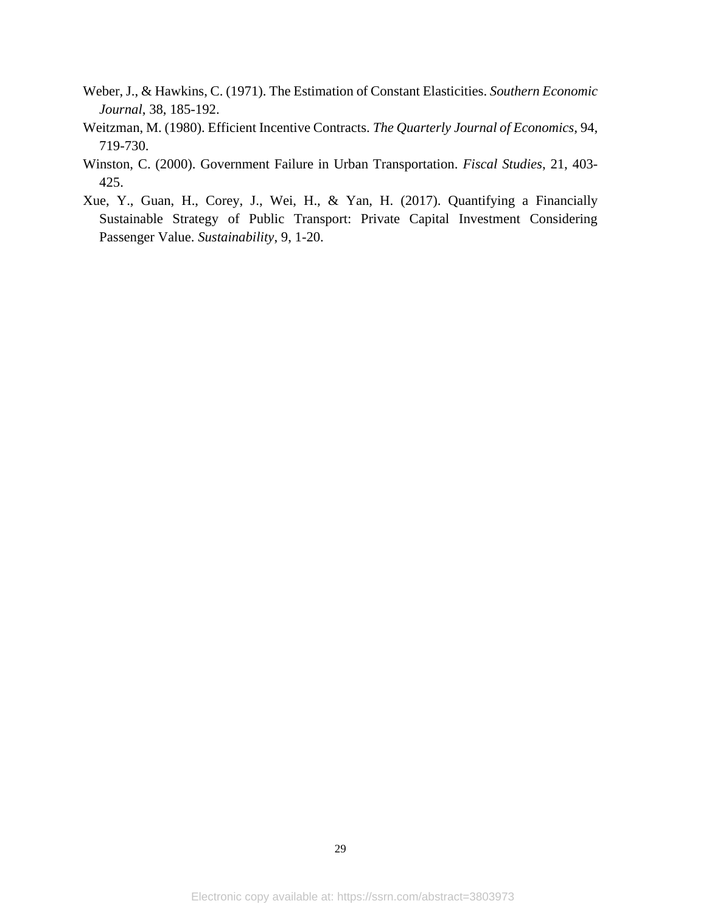- Weber, J., & Hawkins, C. (1971). The Estimation of Constant Elasticities. *Southern Economic Journal*, 38, 185-192.
- Weitzman, M. (1980). Efficient Incentive Contracts. *The Quarterly Journal of Economics*, 94, 719-730.
- Winston, C. (2000). Government Failure in Urban Transportation. *Fiscal Studies*, 21, 403- 425.
- Xue, Y., Guan, H., Corey, J., Wei, H., & Yan, H. (2017). Quantifying a Financially Sustainable Strategy of Public Transport: Private Capital Investment Considering Passenger Value. *Sustainability*, 9, 1-20.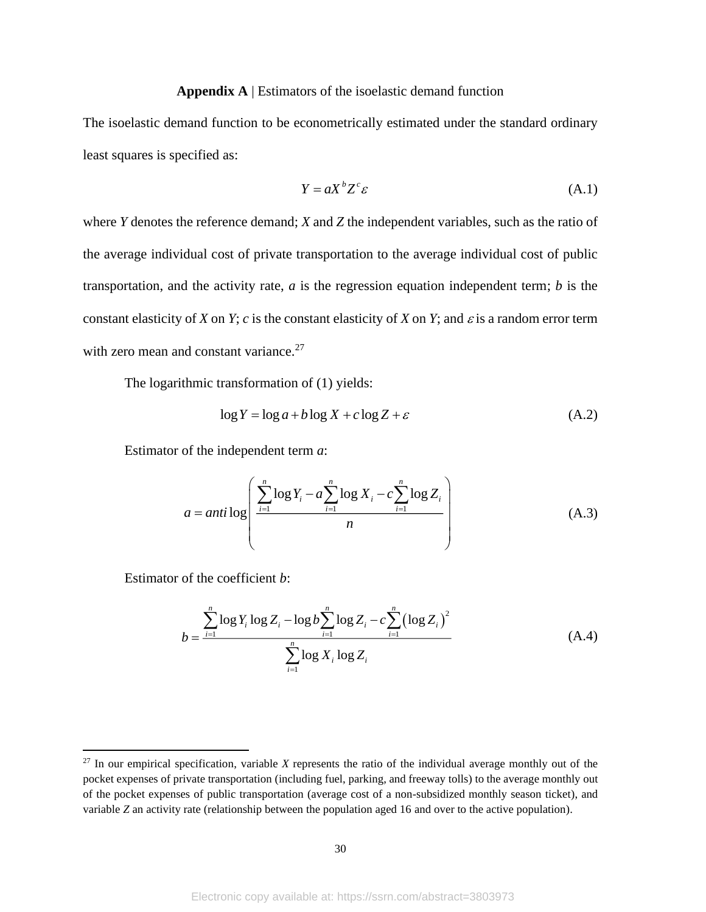### **Appendix A** | Estimators of the isoelastic demand function

The isoelastic demand function to be econometrically estimated under the standard ordinary least squares is specified as:

$$
Y = aX^b Z^c \varepsilon \tag{A.1}
$$

where *Y* denotes the reference demand; *X* and *Z* the independent variables, such as the ratio of the average individual cost of private transportation to the average individual cost of public transportation, and the activity rate, *a* is the regression equation independent term; *b* is the constant elasticity of *X* on *Y*; *c* is the constant elasticity of *X* on *Y*; and  $\varepsilon$  is a random error term with zero mean and constant variance.<sup>27</sup>

The logarithmic transformation of (1) yields:

$$
\log Y = \log a + b \log X + c \log Z + \varepsilon \tag{A.2}
$$

Estimator of the independent term *a*:

$$
a = anti \log \left( \frac{\sum_{i=1}^{n} \log Y_i - a \sum_{i=1}^{n} \log X_i - c \sum_{i=1}^{n} \log Z_i}{n} \right) \tag{A.3}
$$

Estimator of the coefficient *b*:

$$
b = \frac{\sum_{i=1}^{n} \log Y_i \log Z_i - \log b \sum_{i=1}^{n} \log Z_i - c \sum_{i=1}^{n} (\log Z_i)^2}{\sum_{i=1}^{n} \log X_i \log Z_i}
$$
(A.4)

 $27$  In our empirical specification, variable *X* represents the ratio of the individual average monthly out of the pocket expenses of private transportation (including fuel, parking, and freeway tolls) to the average monthly out of the pocket expenses of public transportation (average cost of a non-subsidized monthly season ticket), and variable *Z* an activity rate (relationship between the population aged 16 and over to the active population).